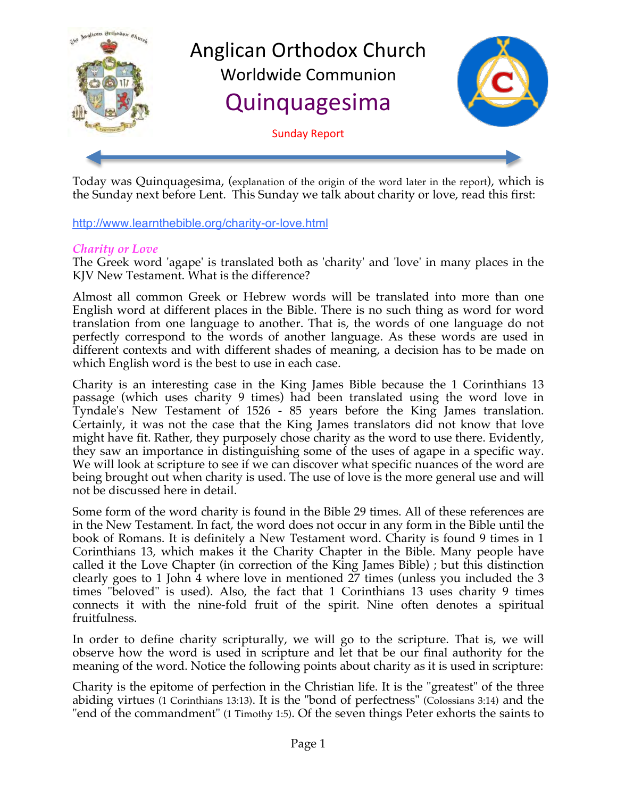

Today was Quinquagesima, (explanation of the origin of the word later in the report), which is the Sunday next before Lent. This Sunday we talk about charity or love, read this first:

http://www.learnthebible.org/charity-or-love.html

## *Charity or Love*

The Greek word 'agape' is translated both as 'charity' and 'love' in many places in the KJV New Testament. What is the difference?

Almost all common Greek or Hebrew words will be translated into more than one English word at different places in the Bible. There is no such thing as word for word translation from one language to another. That is, the words of one language do not perfectly correspond to the words of another language. As these words are used in different contexts and with different shades of meaning, a decision has to be made on which English word is the best to use in each case.

Charity is an interesting case in the King James Bible because the 1 Corinthians 13 passage (which uses charity 9 times) had been translated using the word love in Tyndale's New Testament of 1526 - 85 years before the King James translation. Certainly, it was not the case that the King James translators did not know that love might have fit. Rather, they purposely chose charity as the word to use there. Evidently, they saw an importance in distinguishing some of the uses of agape in a specific way. We will look at scripture to see if we can discover what specific nuances of the word are being brought out when charity is used. The use of love is the more general use and will not be discussed here in detail.

Some form of the word charity is found in the Bible 29 times. All of these references are in the New Testament. In fact, the word does not occur in any form in the Bible until the book of Romans. It is definitely a New Testament word. Charity is found 9 times in 1 Corinthians 13, which makes it the Charity Chapter in the Bible. Many people have called it the Love Chapter (in correction of the King James Bible) ; but this distinction clearly goes to 1 John 4 where love in mentioned 27 times (unless you included the 3 times "beloved" is used). Also, the fact that 1 Corinthians 13 uses charity 9 times connects it with the nine-fold fruit of the spirit. Nine often denotes a spiritual fruitfulness.

In order to define charity scripturally, we will go to the scripture. That is, we will observe how the word is used in scripture and let that be our final authority for the meaning of the word. Notice the following points about charity as it is used in scripture:

Charity is the epitome of perfection in the Christian life. It is the "greatest" of the three abiding virtues (1 Corinthians 13:13). It is the "bond of perfectness" (Colossians 3:14) and the "end of the commandment" (1 Timothy 1:5). Of the seven things Peter exhorts the saints to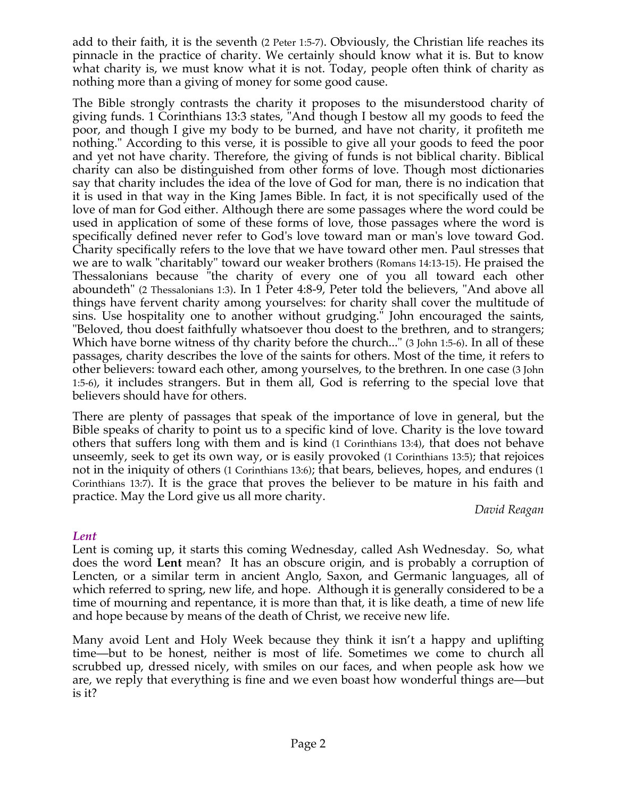add to their faith, it is the seventh (2 Peter 1:5-7). Obviously, the Christian life reaches its pinnacle in the practice of charity. We certainly should know what it is. But to know what charity is, we must know what it is not. Today, people often think of charity as nothing more than a giving of money for some good cause.

The Bible strongly contrasts the charity it proposes to the misunderstood charity of giving funds. 1 Corinthians 13:3 states, "And though I bestow all my goods to feed the poor, and though I give my body to be burned, and have not charity, it profiteth me nothing." According to this verse, it is possible to give all your goods to feed the poor and yet not have charity. Therefore, the giving of funds is not biblical charity. Biblical charity can also be distinguished from other forms of love. Though most dictionaries say that charity includes the idea of the love of God for man, there is no indication that it is used in that way in the King James Bible. In fact, it is not specifically used of the love of man for God either. Although there are some passages where the word could be used in application of some of these forms of love, those passages where the word is specifically defined never refer to God's love toward man or man's love toward God. Charity specifically refers to the love that we have toward other men. Paul stresses that we are to walk "charitably" toward our weaker brothers (Romans 14:13-15). He praised the Thessalonians because "the charity of every one of you all toward each other aboundeth" (2 Thessalonians 1:3). In 1 Peter 4:8-9, Peter told the believers, "And above all things have fervent charity among yourselves: for charity shall cover the multitude of sins. Use hospitality one to another without grudging." John encouraged the saints, "Beloved, thou doest faithfully whatsoever thou doest to the brethren, and to strangers; Which have borne witness of thy charity before the church..." (3 John 1:5-6). In all of these passages, charity describes the love of the saints for others. Most of the time, it refers to other believers: toward each other, among yourselves, to the brethren. In one case (3 John 1:5-6), it includes strangers. But in them all, God is referring to the special love that believers should have for others.

There are plenty of passages that speak of the importance of love in general, but the Bible speaks of charity to point us to a specific kind of love. Charity is the love toward others that suffers long with them and is kind (1 Corinthians 13:4), that does not behave unseemly, seek to get its own way, or is easily provoked (1 Corinthians 13:5); that rejoices not in the iniquity of others (1 Corinthians 13:6); that bears, believes, hopes, and endures (1 Corinthians 13:7). It is the grace that proves the believer to be mature in his faith and practice. May the Lord give us all more charity.

*David Reagan*

#### *Lent*

Lent is coming up, it starts this coming Wednesday, called Ash Wednesday. So, what does the word **Lent** mean? It has an obscure origin, and is probably a corruption of Lencten, or a similar term in ancient Anglo, Saxon, and Germanic languages, all of which referred to spring, new life, and hope. Although it is generally considered to be a time of mourning and repentance, it is more than that, it is like death, a time of new life and hope because by means of the death of Christ, we receive new life.

Many avoid Lent and Holy Week because they think it isn't a happy and uplifting time—but to be honest, neither is most of life. Sometimes we come to church all scrubbed up, dressed nicely, with smiles on our faces, and when people ask how we are, we reply that everything is fine and we even boast how wonderful things are—but is it?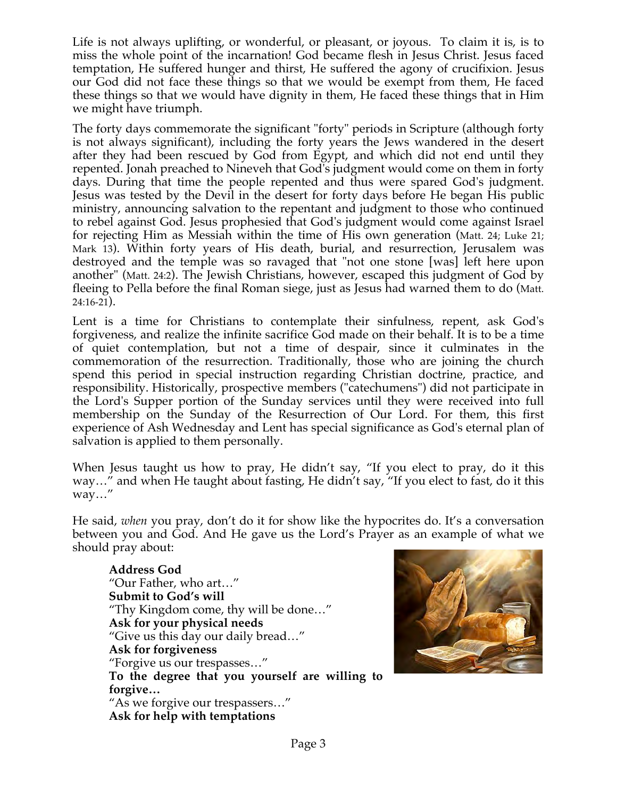Life is not always uplifting, or wonderful, or pleasant, or joyous. To claim it is, is to miss the whole point of the incarnation! God became flesh in Jesus Christ. Jesus faced temptation, He suffered hunger and thirst, He suffered the agony of crucifixion. Jesus our God did not face these things so that we would be exempt from them, He faced these things so that we would have dignity in them, He faced these things that in Him we might have triumph.

The forty days commemorate the significant "forty" periods in Scripture (although forty is not always significant), including the forty years the Jews wandered in the desert after they had been rescued by God from Egypt, and which did not end until they repented. Jonah preached to Nineveh that God's judgment would come on them in forty days. During that time the people repented and thus were spared God's judgment. Jesus was tested by the Devil in the desert for forty days before He began His public ministry, announcing salvation to the repentant and judgment to those who continued to rebel against God. Jesus prophesied that God's judgment would come against Israel for rejecting Him as Messiah within the time of His own generation (Matt. 24; Luke 21; Mark 13). Within forty years of His death, burial, and resurrection, Jerusalem was destroyed and the temple was so ravaged that "not one stone [was] left here upon another" (Matt. 24:2). The Jewish Christians, however, escaped this judgment of God by fleeing to Pella before the final Roman siege, just as Jesus had warned them to do (Matt. 24:16-21).

Lent is a time for Christians to contemplate their sinfulness, repent, ask God's forgiveness, and realize the infinite sacrifice God made on their behalf. It is to be a time of quiet contemplation, but not a time of despair, since it culminates in the commemoration of the resurrection. Traditionally, those who are joining the church spend this period in special instruction regarding Christian doctrine, practice, and responsibility. Historically, prospective members ("catechumens") did not participate in the Lord's Supper portion of the Sunday services until they were received into full membership on the Sunday of the Resurrection of Our Lord. For them, this first experience of Ash Wednesday and Lent has special significance as God's eternal plan of salvation is applied to them personally.

When Jesus taught us how to pray, He didn't say, "If you elect to pray, do it this way…" and when He taught about fasting, He didn't say, "If you elect to fast, do it this way…"

He said, *when* you pray, don't do it for show like the hypocrites do. It's a conversation between you and God. And He gave us the Lord's Prayer as an example of what we should pray about:

**Address God** "Our Father, who art…" **Submit to God's will** "Thy Kingdom come, thy will be done…" **Ask for your physical needs** "Give us this day our daily bread…" **Ask for forgiveness** "Forgive us our trespasses…" **To the degree that you yourself are willing to forgive…** "As we forgive our trespassers…" **Ask for help with temptations**

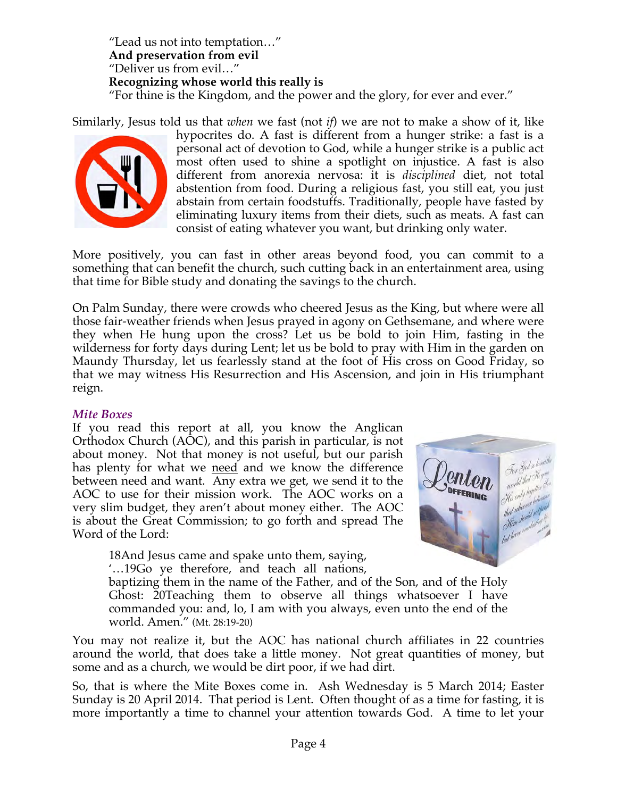"Lead us not into temptation…" **And preservation from evil** "Deliver us from evil…" **Recognizing whose world this really is** "For thine is the Kingdom, and the power and the glory, for ever and ever."

Similarly, Jesus told us that *when* we fast (not *if*) we are not to make a show of it, like



hypocrites do. A fast is different from a hunger strike: a fast is a personal act of devotion to God, while a hunger strike is a public act most often used to shine a spotlight on injustice. A fast is also different from anorexia nervosa: it is *disciplined* diet, not total abstention from food. During a religious fast, you still eat, you just abstain from certain foodstuffs. Traditionally, people have fasted by eliminating luxury items from their diets, such as meats. A fast can consist of eating whatever you want, but drinking only water.

More positively, you can fast in other areas beyond food, you can commit to a something that can benefit the church, such cutting back in an entertainment area, using that time for Bible study and donating the savings to the church.

On Palm Sunday, there were crowds who cheered Jesus as the King, but where were all those fair-weather friends when Jesus prayed in agony on Gethsemane, and where were they when He hung upon the cross? Let us be bold to join Him, fasting in the wilderness for forty days during Lent; let us be bold to pray with Him in the garden on Maundy Thursday, let us fearlessly stand at the foot of His cross on Good Friday, so that we may witness His Resurrection and His Ascension, and join in His triumphant reign.

#### *Mite Boxes*

If you read this report at all, you know the Anglican Orthodox Church (AOC), and this parish in particular, is not about money. Not that money is not useful, but our parish has plenty for what we need and we know the difference between need and want. Any extra we get, we send it to the AOC to use for their mission work. The AOC works on a very slim budget, they aren't about money either. The AOC is about the Great Commission; to go forth and spread The Word of the Lord:



18And Jesus came and spake unto them, saying, '…19Go ye therefore, and teach all nations,

baptizing them in the name of the Father, and of the Son, and of the Holy Ghost: 20Teaching them to observe all things whatsoever I have commanded you: and, lo, I am with you always, even unto the end of the world. Amen." (Mt. 28:19-20)

You may not realize it, but the AOC has national church affiliates in 22 countries around the world, that does take a little money. Not great quantities of money, but some and as a church, we would be dirt poor, if we had dirt.

So, that is where the Mite Boxes come in. Ash Wednesday is 5 March 2014; Easter Sunday is 20 April 2014. That period is Lent. Often thought of as a time for fasting, it is more importantly a time to channel your attention towards God. A time to let your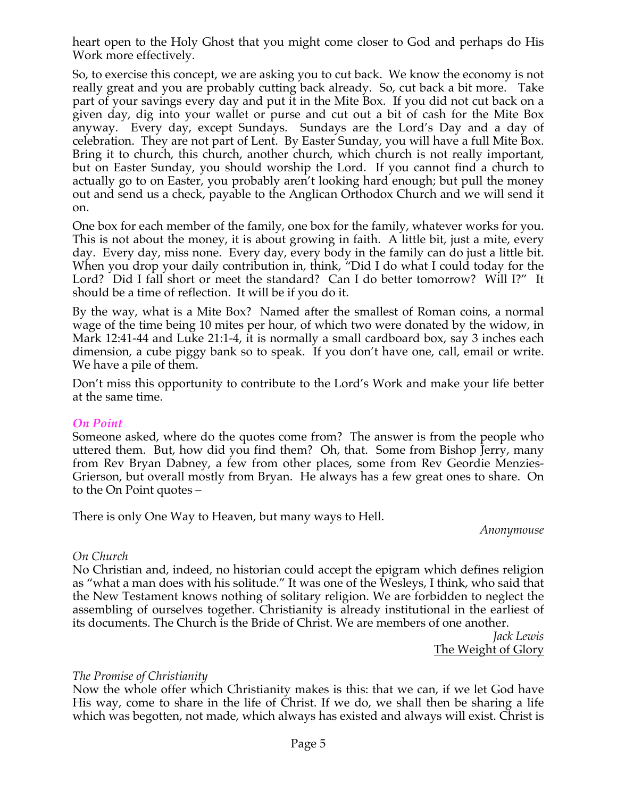heart open to the Holy Ghost that you might come closer to God and perhaps do His Work more effectively.

So, to exercise this concept, we are asking you to cut back. We know the economy is not really great and you are probably cutting back already. So, cut back a bit more. Take part of your savings every day and put it in the Mite Box. If you did not cut back on a given day, dig into your wallet or purse and cut out a bit of cash for the Mite Box anyway. Every day, except Sundays. Sundays are the Lord's Day and a day of celebration. They are not part of Lent. By Easter Sunday, you will have a full Mite Box. Bring it to church, this church, another church, which church is not really important, but on Easter Sunday, you should worship the Lord. If you cannot find a church to actually go to on Easter, you probably aren't looking hard enough; but pull the money out and send us a check, payable to the Anglican Orthodox Church and we will send it on.

One box for each member of the family, one box for the family, whatever works for you. This is not about the money, it is about growing in faith. A little bit, just a mite, every day. Every day, miss none. Every day, every body in the family can do just a little bit. When you drop your daily contribution in, think, "Did I do what I could today for the Lord? Did I fall short or meet the standard? Can I do better tomorrow? Will I?" It should be a time of reflection. It will be if you do it.

By the way, what is a Mite Box? Named after the smallest of Roman coins, a normal wage of the time being 10 mites per hour, of which two were donated by the widow, in Mark 12:41-44 and Luke 21:1-4, it is normally a small cardboard box, say 3 inches each dimension, a cube piggy bank so to speak. If you don't have one, call, email or write. We have a pile of them.

Don't miss this opportunity to contribute to the Lord's Work and make your life better at the same time.

#### *On Point*

Someone asked, where do the quotes come from? The answer is from the people who uttered them. But, how did you find them? Oh, that. Some from Bishop Jerry, many from Rev Bryan Dabney, a few from other places, some from Rev Geordie Menzies-Grierson, but overall mostly from Bryan. He always has a few great ones to share. On to the On Point quotes –

There is only One Way to Heaven, but many ways to Hell.

*Anonymouse*

#### *On Church*

No Christian and, indeed, no historian could accept the epigram which defines religion as "what a man does with his solitude." It was one of the Wesleys, I think, who said that the New Testament knows nothing of solitary religion. We are forbidden to neglect the assembling of ourselves together. Christianity is already institutional in the earliest of its documents. The Church is the Bride of Christ. We are members of one another.

*Jack Lewis* The Weight of Glory

#### *The Promise of Christianity*

Now the whole offer which Christianity makes is this: that we can, if we let God have His way, come to share in the life of Christ. If we do, we shall then be sharing a life which was begotten, not made, which always has existed and always will exist. Christ is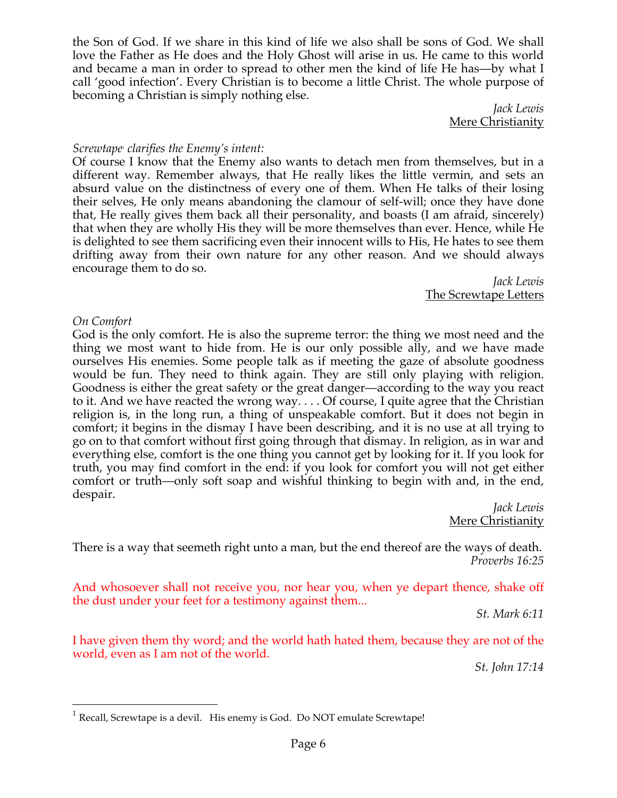the Son of God. If we share in this kind of life we also shall be sons of God. We shall love the Father as He does and the Holy Ghost will arise in us. He came to this world and became a man in order to spread to other men the kind of life He has—by what I call 'good infection'. Every Christian is to become a little Christ. The whole purpose of becoming a Christian is simply nothing else.

*Jack Lewis* Mere Christianity

#### *Screwtape1 clarifies the Enemy's intent:*

Of course I know that the Enemy also wants to detach men from themselves, but in a different way. Remember always, that He really likes the little vermin, and sets an absurd value on the distinctness of every one of them. When He talks of their losing their selves, He only means abandoning the clamour of self-will; once they have done that, He really gives them back all their personality, and boasts (I am afraid, sincerely) that when they are wholly His they will be more themselves than ever. Hence, while He is delighted to see them sacrificing even their innocent wills to His, He hates to see them drifting away from their own nature for any other reason. And we should always encourage them to do so.

> *Jack Lewis* The Screwtape Letters

#### *On Comfort*

God is the only comfort. He is also the supreme terror: the thing we most need and the thing we most want to hide from. He is our only possible ally, and we have made ourselves His enemies. Some people talk as if meeting the gaze of absolute goodness would be fun. They need to think again. They are still only playing with religion. Goodness is either the great safety or the great danger—according to the way you react to it. And we have reacted the wrong way. . . . Of course, I quite agree that the Christian religion is, in the long run, a thing of unspeakable comfort. But it does not begin in comfort; it begins in the dismay I have been describing, and it is no use at all trying to go on to that comfort without first going through that dismay. In religion, as in war and everything else, comfort is the one thing you cannot get by looking for it. If you look for truth, you may find comfort in the end: if you look for comfort you will not get either comfort or truth—only soft soap and wishful thinking to begin with and, in the end, despair.

*Jack Lewis* Mere Christianity

There is a way that seemeth right unto a man, but the end thereof are the ways of death. *Proverbs 16:25*

And whosoever shall not receive you, nor hear you, when ye depart thence, shake off the dust under your feet for a testimony against them...

*St. Mark 6:11*

I have given them thy word; and the world hath hated them, because they are not of the world, even as I am not of the world.

*St. John 17:14*

 $<sup>1</sup>$  Recall, Screwtape is a devil. His enemy is God. Do NOT emulate Screwtape!</sup>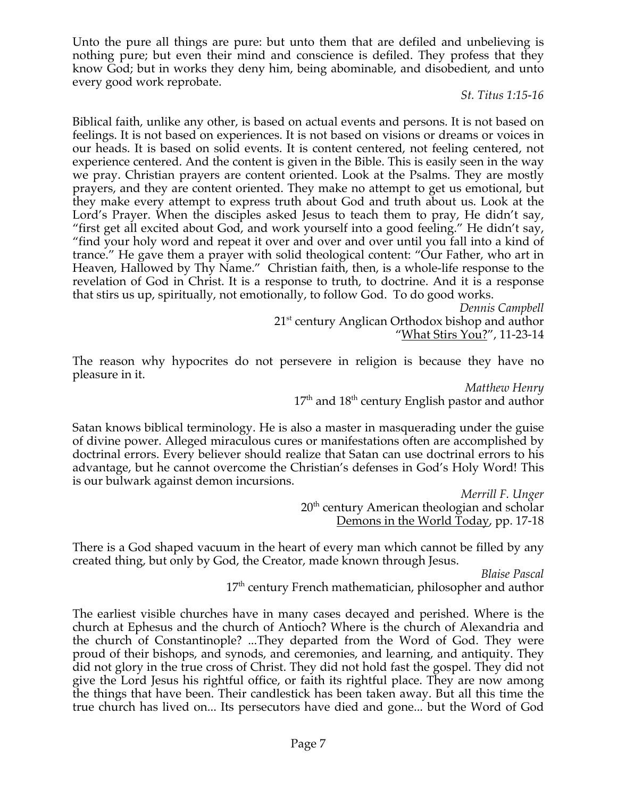Unto the pure all things are pure: but unto them that are defiled and unbelieving is nothing pure; but even their mind and conscience is defiled. They profess that they know God; but in works they deny him, being abominable, and disobedient, and unto every good work reprobate.

*St. Titus 1:15-16*

Biblical faith, unlike any other, is based on actual events and persons. It is not based on feelings. It is not based on experiences. It is not based on visions or dreams or voices in our heads. It is based on solid events. It is content centered, not feeling centered, not experience centered. And the content is given in the Bible. This is easily seen in the way we pray. Christian prayers are content oriented. Look at the Psalms. They are mostly prayers, and they are content oriented. They make no attempt to get us emotional, but they make every attempt to express truth about God and truth about us. Look at the Lord's Prayer. When the disciples asked Jesus to teach them to pray, He didn't say, "first get all excited about God, and work yourself into a good feeling." He didn't say, "find your holy word and repeat it over and over and over until you fall into a kind of trance." He gave them a prayer with solid theological content: "Our Father, who art in Heaven, Hallowed by Thy Name." Christian faith, then, is a whole-life response to the revelation of God in Christ. It is a response to truth, to doctrine. And it is a response that stirs us up, spiritually, not emotionally, to follow God. To do good works.

*Dennis Campbell* 21<sup>st</sup> century Anglican Orthodox bishop and author "What Stirs You?", 11-23-14

The reason why hypocrites do not persevere in religion is because they have no pleasure in it.

*Matthew Henry*  $17<sup>th</sup>$  and  $18<sup>th</sup>$  century English pastor and author

Satan knows biblical terminology. He is also a master in masquerading under the guise of divine power. Alleged miraculous cures or manifestations often are accomplished by doctrinal errors. Every believer should realize that Satan can use doctrinal errors to his advantage, but he cannot overcome the Christian's defenses in God's Holy Word! This is our bulwark against demon incursions.

> *Merrill F. Unger* 20<sup>th</sup> century American theologian and scholar Demons in the World Today, pp. 17-18

There is a God shaped vacuum in the heart of every man which cannot be filled by any created thing, but only by God, the Creator, made known through Jesus.

*Blaise Pascal* 17<sup>th</sup> century French mathematician, philosopher and author

The earliest visible churches have in many cases decayed and perished. Where is the church at Ephesus and the church of Antioch? Where is the church of Alexandria and the church of Constantinople? ...They departed from the Word of God. They were proud of their bishops, and synods, and ceremonies, and learning, and antiquity. They did not glory in the true cross of Christ. They did not hold fast the gospel. They did not give the Lord Jesus his rightful office, or faith its rightful place. They are now among the things that have been. Their candlestick has been taken away. But all this time the true church has lived on... Its persecutors have died and gone... but the Word of God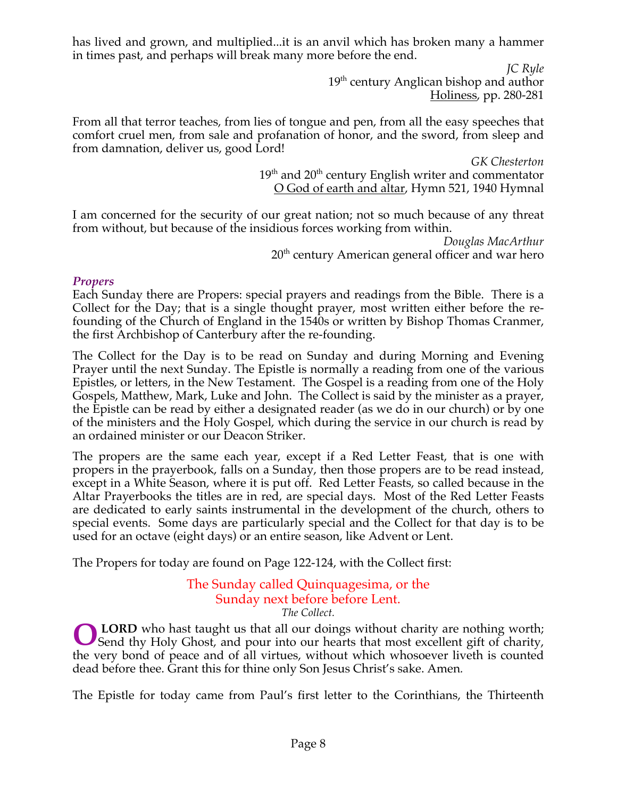has lived and grown, and multiplied...it is an anvil which has broken many a hammer in times past, and perhaps will break many more before the end.

> *JC Ryle*  $19<sup>th</sup>$  century Anglican bishop and author Holiness, pp. 280-281

From all that terror teaches, from lies of tongue and pen, from all the easy speeches that comfort cruel men, from sale and profanation of honor, and the sword, from sleep and from damnation, deliver us, good Lord!

> *GK Chesterton*  $19<sup>th</sup>$  and  $20<sup>th</sup>$  century English writer and commentator O God of earth and altar, Hymn 521, 1940 Hymnal

I am concerned for the security of our great nation; not so much because of any threat from without, but because of the insidious forces working from within.

> *Douglas MacArthur*  $20^{\text{th}}$  century American general officer and war hero

#### *Propers*

Each Sunday there are Propers: special prayers and readings from the Bible. There is a Collect for the Day; that is a single thought prayer, most written either before the refounding of the Church of England in the 1540s or written by Bishop Thomas Cranmer, the first Archbishop of Canterbury after the re-founding.

The Collect for the Day is to be read on Sunday and during Morning and Evening Prayer until the next Sunday. The Epistle is normally a reading from one of the various Epistles, or letters, in the New Testament. The Gospel is a reading from one of the Holy Gospels, Matthew, Mark, Luke and John. The Collect is said by the minister as a prayer, the Epistle can be read by either a designated reader (as we do in our church) or by one of the ministers and the Holy Gospel, which during the service in our church is read by an ordained minister or our Deacon Striker.

The propers are the same each year, except if a Red Letter Feast, that is one with propers in the prayerbook, falls on a Sunday, then those propers are to be read instead, except in a White Season, where it is put off. Red Letter Feasts, so called because in the Altar Prayerbooks the titles are in red, are special days. Most of the Red Letter Feasts are dedicated to early saints instrumental in the development of the church, others to special events. Some days are particularly special and the Collect for that day is to be used for an octave (eight days) or an entire season, like Advent or Lent.

The Propers for today are found on Page 122-124, with the Collect first:

# The Sunday called Quinquagesima, or the Sunday next before before Lent.

*The Collect.*

**LORD** who hast taught us that all our doings without charity are nothing worth; Send thy Holy Ghost, and pour into our hearts that most excellent gift of charity, the very bond of peace and of all virtues, without which whosoever liveth is counted dead before thee. Grant this for thine only Son Jesus Christ's sake. Amen*.* **O**

The Epistle for today came from Paul's first letter to the Corinthians, the Thirteenth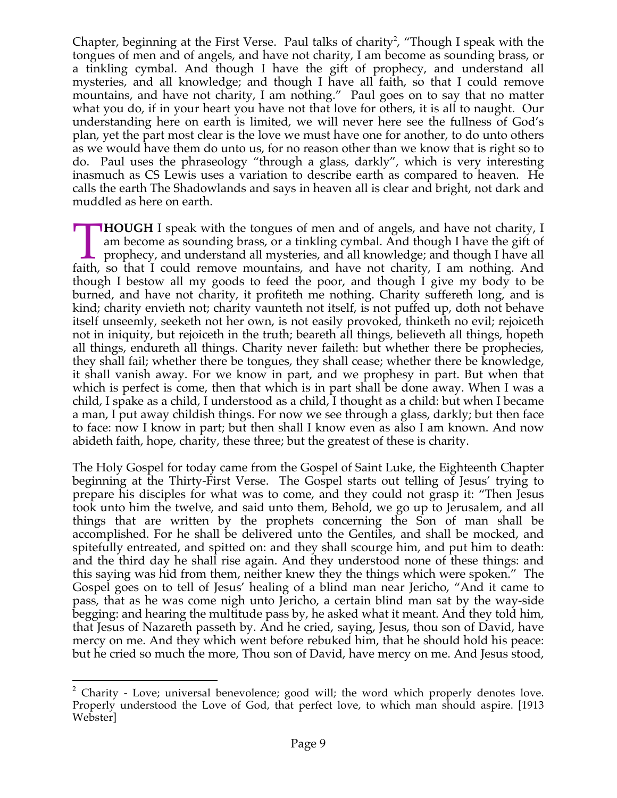Chapter, beginning at the First Verse. Paul talks of charity<sup>2</sup>, "Though I speak with the tongues of men and of angels, and have not charity, I am become as sounding brass, or a tinkling cymbal. And though I have the gift of prophecy, and understand all mysteries, and all knowledge; and though I have all faith, so that I could remove mountains, and have not charity, I am nothing." Paul goes on to say that no matter what you do, if in your heart you have not that love for others, it is all to naught. Our understanding here on earth is limited, we will never here see the fullness of God's plan, yet the part most clear is the love we must have one for another, to do unto others as we would have them do unto us, for no reason other than we know that is right so to do. Paul uses the phraseology "through a glass, darkly", which is very interesting inasmuch as CS Lewis uses a variation to describe earth as compared to heaven. He calls the earth The Shadowlands and says in heaven all is clear and bright, not dark and muddled as here on earth.

**HOUGH** I speak with the tongues of men and of angels, and have not charity, I am become as sounding brass, or a tinkling cymbal. And though I have the gift of prophecy, and understand all mysteries, and all knowledge; and though I have all **HOUGH** I speak with the tongues of men and of angels, and have not charity, I am become as sounding brass, or a tinkling cymbal. And though I have the gift of prophecy, and understand all mysteries, and all knowledge; and though I bestow all my goods to feed the poor, and though I give my body to be burned, and have not charity, it profiteth me nothing. Charity suffereth long, and is kind; charity envieth not; charity vaunteth not itself, is not puffed up, doth not behave itself unseemly, seeketh not her own, is not easily provoked, thinketh no evil; rejoiceth not in iniquity, but rejoiceth in the truth; beareth all things, believeth all things, hopeth all things, endureth all things. Charity never faileth: but whether there be prophecies, they shall fail; whether there be tongues, they shall cease; whether there be knowledge, it shall vanish away. For we know in part, and we prophesy in part. But when that which is perfect is come, then that which is in part shall be done away. When I was a child, I spake as a child, I understood as a child, I thought as a child: but when I became a man, I put away childish things. For now we see through a glass, darkly; but then face to face: now I know in part; but then shall I know even as also I am known. And now abideth faith, hope, charity, these three; but the greatest of these is charity.

The Holy Gospel for today came from the Gospel of Saint Luke, the Eighteenth Chapter beginning at the Thirty-First Verse. The Gospel starts out telling of Jesus' trying to prepare his disciples for what was to come, and they could not grasp it: "Then Jesus took unto him the twelve, and said unto them, Behold, we go up to Jerusalem, and all things that are written by the prophets concerning the Son of man shall be accomplished. For he shall be delivered unto the Gentiles, and shall be mocked, and spitefully entreated, and spitted on: and they shall scourge him, and put him to death: and the third day he shall rise again. And they understood none of these things: and this saying was hid from them, neither knew they the things which were spoken." The Gospel goes on to tell of Jesus' healing of a blind man near Jericho, "And it came to pass, that as he was come nigh unto Jericho, a certain blind man sat by the way-side begging: and hearing the multitude pass by, he asked what it meant. And they told him, that Jesus of Nazareth passeth by. And he cried, saying, Jesus, thou son of David, have mercy on me. And they which went before rebuked him, that he should hold his peace: but he cried so much the more, Thou son of David, have mercy on me. And Jesus stood,

<sup>&</sup>lt;sup>2</sup> Charity - Love; universal benevolence; good will; the word which properly denotes love. Properly understood the Love of God, that perfect love, to which man should aspire. [1913 Webster]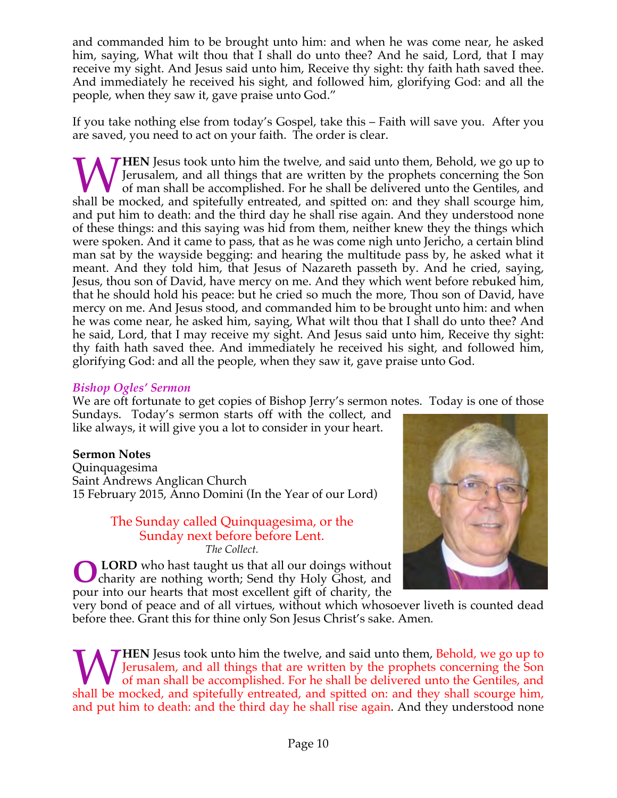and commanded him to be brought unto him: and when he was come near, he asked him, saying, What wilt thou that I shall do unto thee? And he said, Lord, that I may receive my sight. And Jesus said unto him, Receive thy sight: thy faith hath saved thee. And immediately he received his sight, and followed him, glorifying God: and all the people, when they saw it, gave praise unto God."

If you take nothing else from today's Gospel, take this – Faith will save you. After you are saved, you need to act on your faith. The order is clear.

**THEN** Jesus took unto him the twelve, and said unto them, Behold, we go up to Jerusalem, and all things that are written by the prophets concerning the Son of man shall be accomplished. For he shall be delivered unto the Gentiles, and **Shall be mocked**, and spitefully entreated, and spitted on: and they shall scourge him, shall be mocked, and spitefully entreated, and spitted on: and they shall scourge him, and put him to death: and the third day he shall rise again. And they understood none of these things: and this saying was hid from them, neither knew they the things which were spoken. And it came to pass, that as he was come nigh unto Jericho, a certain blind man sat by the wayside begging: and hearing the multitude pass by, he asked what it meant. And they told him, that Jesus of Nazareth passeth by. And he cried, saying, Jesus, thou son of David, have mercy on me. And they which went before rebuked him, that he should hold his peace: but he cried so much the more, Thou son of David, have mercy on me. And Jesus stood, and commanded him to be brought unto him: and when he was come near, he asked him, saying, What wilt thou that I shall do unto thee? And he said, Lord, that I may receive my sight. And Jesus said unto him, Receive thy sight: thy faith hath saved thee. And immediately he received his sight, and followed him, glorifying God: and all the people, when they saw it, gave praise unto God.

## *Bishop Ogles' Sermon*

We are oft fortunate to get copies of Bishop Jerry's sermon notes. Today is one of those

Sundays. Today's sermon starts off with the collect, and like always, it will give you a lot to consider in your heart.

## **Sermon Notes**

Quinquagesima Saint Andrews Anglican Church 15 February 2015, Anno Domini (In the Year of our Lord)

## The Sunday called Quinquagesima, or the Sunday next before before Lent. *The Collect.*

 **LORD** who hast taught us that all our doings without charity are nothing worth; Send thy Holy Ghost, and pour into our hearts that most excellent gift of charity, the **O**



very bond of peace and of all virtues, without which whosoever liveth is counted dead before thee. Grant this for thine only Son Jesus Christ's sake. Amen*.*

**HEN** Jesus took unto him the twelve, and said unto them, Behold, we go up to Jerusalem, and all things that are written by the prophets concerning the Son of man shall be accomplished. For he shall be delivered unto the Gentiles, and **Shall be mocked, and spitefully entreated, and spitted on: and they shall scourge him,** the mocked, and spitefully entreated, and spitted on: and they shall scourge him, and put him to death: and the third day he shall rise again. And they understood none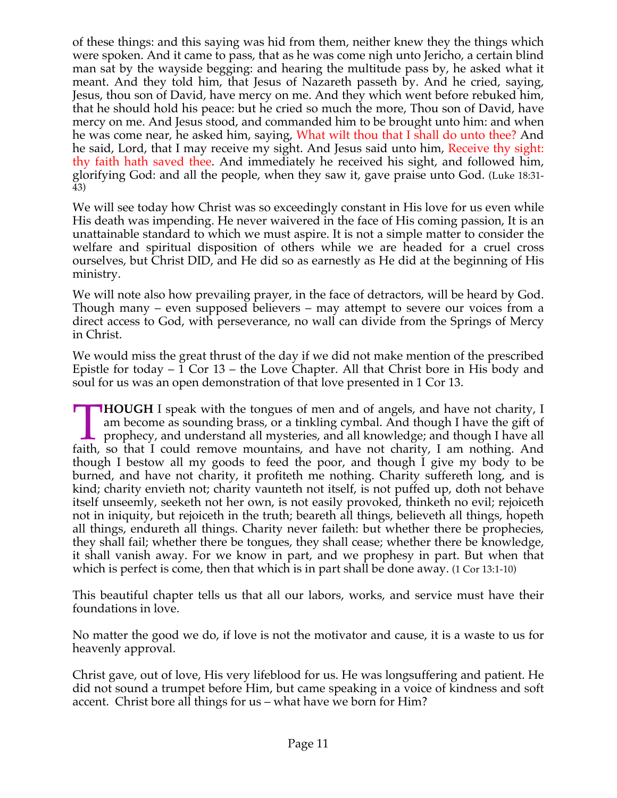of these things: and this saying was hid from them, neither knew they the things which were spoken. And it came to pass, that as he was come nigh unto Jericho, a certain blind man sat by the wayside begging: and hearing the multitude pass by, he asked what it meant. And they told him, that Jesus of Nazareth passeth by. And he cried, saying, Jesus, thou son of David, have mercy on me. And they which went before rebuked him, that he should hold his peace: but he cried so much the more, Thou son of David, have mercy on me. And Jesus stood, and commanded him to be brought unto him: and when he was come near, he asked him, saying, What wilt thou that I shall do unto thee? And he said, Lord, that I may receive my sight. And Jesus said unto him, Receive thy sight: thy faith hath saved thee. And immediately he received his sight, and followed him, glorifying God: and all the people, when they saw it, gave praise unto God. (Luke 18:31- 43)

We will see today how Christ was so exceedingly constant in His love for us even while His death was impending. He never waivered in the face of His coming passion, It is an unattainable standard to which we must aspire. It is not a simple matter to consider the welfare and spiritual disposition of others while we are headed for a cruel cross ourselves, but Christ DID, and He did so as earnestly as He did at the beginning of His ministry.

We will note also how prevailing prayer, in the face of detractors, will be heard by God. Though many – even supposed believers – may attempt to severe our voices from a direct access to God, with perseverance, no wall can divide from the Springs of Mercy in Christ.

We would miss the great thrust of the day if we did not make mention of the prescribed Epistle for today – 1 Cor 13 – the Love Chapter. All that Christ bore in His body and soul for us was an open demonstration of that love presented in 1 Cor 13.

**HOUGH** I speak with the tongues of men and of angels, and have not charity, I am become as sounding brass, or a tinkling cymbal. And though I have the gift of prophecy, and understand all mysteries, and all knowledge; and though I have all **HOUGH** I speak with the tongues of men and of angels, and have not charity, I am become as sounding brass, or a tinkling cymbal. And though I have the gift of prophecy, and understand all mysteries, and all knowledge; and though I bestow all my goods to feed the poor, and though I give my body to be burned, and have not charity, it profiteth me nothing. Charity suffereth long, and is kind; charity envieth not; charity vaunteth not itself, is not puffed up, doth not behave itself unseemly, seeketh not her own, is not easily provoked, thinketh no evil; rejoiceth not in iniquity, but rejoiceth in the truth; beareth all things, believeth all things, hopeth all things, endureth all things. Charity never faileth: but whether there be prophecies, they shall fail; whether there be tongues, they shall cease; whether there be knowledge, it shall vanish away. For we know in part, and we prophesy in part. But when that which is perfect is come, then that which is in part shall be done away. (1 Cor 13:1-10)

This beautiful chapter tells us that all our labors, works, and service must have their foundations in love.

No matter the good we do, if love is not the motivator and cause, it is a waste to us for heavenly approval.

Christ gave, out of love, His very lifeblood for us. He was longsuffering and patient. He did not sound a trumpet before Him, but came speaking in a voice of kindness and soft accent. Christ bore all things for us – what have we born for Him?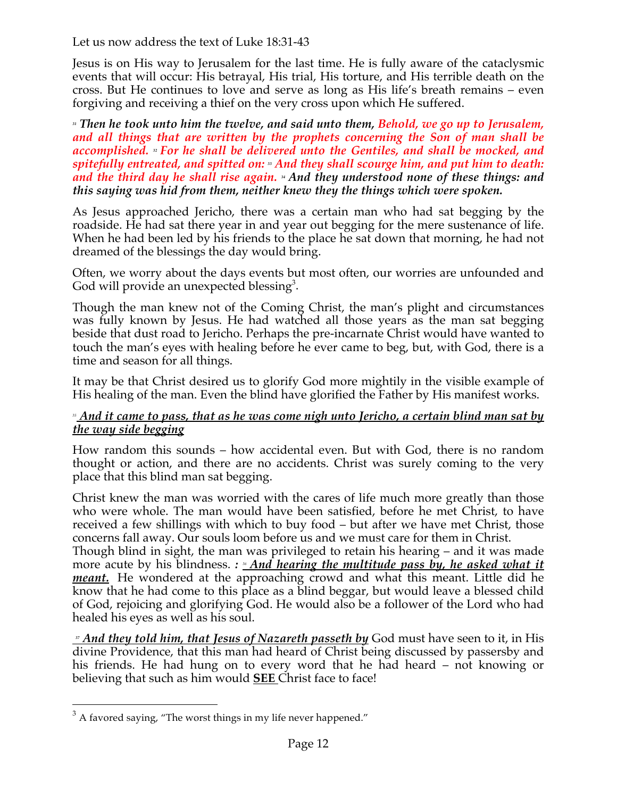Let us now address the text of Luke 18:31-43

Jesus is on His way to Jerusalem for the last time. He is fully aware of the cataclysmic events that will occur: His betrayal, His trial, His torture, and His terrible death on the cross. But He continues to love and serve as long as His life's breath remains – even forgiving and receiving a thief on the very cross upon which He suffered.

*<sup>31</sup> Then he took unto him the twelve, and said unto them, Behold, we go up to Jerusalem, and all things that are written by the prophets concerning the Son of man shall be accomplished. 32 For he shall be delivered unto the Gentiles, and shall be mocked, and spitefully entreated, and spitted on: 33 And they shall scourge him, and put him to death: and the third day he shall rise again. <sup>4</sup> And they understood none of these things: and this saying was hid from them, neither knew they the things which were spoken.*

As Jesus approached Jericho, there was a certain man who had sat begging by the roadside. He had sat there year in and year out begging for the mere sustenance of life. When he had been led by his friends to the place he sat down that morning, he had not dreamed of the blessings the day would bring.

Often, we worry about the days events but most often, our worries are unfounded and God will provide an unexpected blessing<sup>3</sup>.

Though the man knew not of the Coming Christ, the man's plight and circumstances was fully known by Jesus. He had watched all those years as the man sat begging beside that dust road to Jericho. Perhaps the pre-incarnate Christ would have wanted to touch the man's eyes with healing before he ever came to beg, but, with God, there is a time and season for all things.

It may be that Christ desired us to glorify God more mightily in the visible example of His healing of the man. Even the blind have glorified the Father by His manifest works.

## *<sup>35</sup> And it came to pass, that as he was come nigh unto Jericho, a certain blind man sat by the way side begging*

How random this sounds – how accidental even. But with God, there is no random thought or action, and there are no accidents. Christ was surely coming to the very place that this blind man sat begging.

Christ knew the man was worried with the cares of life much more greatly than those who were whole. The man would have been satisfied, before he met Christ, to have received a few shillings with which to buy food – but after we have met Christ, those concerns fall away. Our souls loom before us and we must care for them in Christ.

Though blind in sight, the man was privileged to retain his hearing – and it was made more acute by his blindness. *: <u><sup>8</sup> And hearing the multitude pass by</u>, he asked what it meant.* He wondered at the approaching crowd and what this meant. Little did he know that he had come to this place as a blind beggar, but would leave a blessed child of God, rejoicing and glorifying God. He would also be a follower of the Lord who had healed his eyes as well as his soul.

*<sup>37</sup> And they told him, that Jesus of Nazareth passeth by* God must have seen to it, in His divine Providence, that this man had heard of Christ being discussed by passersby and his friends. He had hung on to every word that he had heard – not knowing or believing that such as him would **SEE** Christ face to face!

 $3$  A favored saying, "The worst things in my life never happened."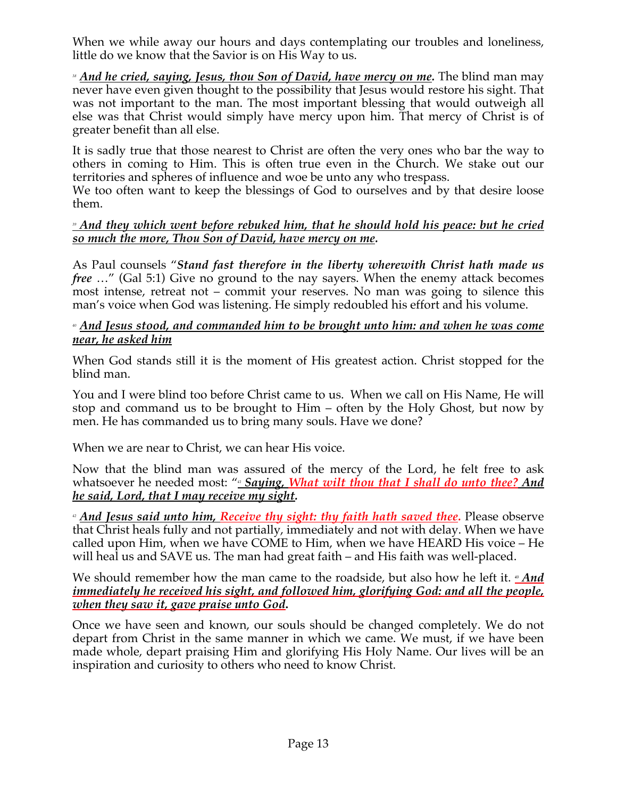When we while away our hours and days contemplating our troubles and loneliness, little do we know that the Savior is on His Way to us.

*<sup>38</sup> And he cried, saying, Jesus, thou Son of David, have mercy on me.* The blind man may never have even given thought to the possibility that Jesus would restore his sight. That was not important to the man. The most important blessing that would outweigh all else was that Christ would simply have mercy upon him. That mercy of Christ is of greater benefit than all else.

It is sadly true that those nearest to Christ are often the very ones who bar the way to others in coming to Him. This is often true even in the Church. We stake out our territories and spheres of influence and woe be unto any who trespass.

We too often want to keep the blessings of God to ourselves and by that desire loose them.

#### *<sup>39</sup> And they which went before rebuked him, that he should hold his peace: but he cried so much the more, Thou Son of David, have mercy on me.*

As Paul counsels "*Stand fast therefore in the liberty wherewith Christ hath made us free* …" (Gal 5:1) Give no ground to the nay sayers. When the enemy attack becomes most intense, retreat not – commit your reserves. No man was going to silence this man's voice when God was listening. He simply redoubled his effort and his volume.

#### *<sup>40</sup> And Jesus stood, and commanded him to be brought unto him: and when he was come near, he asked him*

When God stands still it is the moment of His greatest action. Christ stopped for the blind man.

You and I were blind too before Christ came to us. When we call on His Name, He will stop and command us to be brought to Him – often by the Holy Ghost, but now by men. He has commanded us to bring many souls. Have we done?

When we are near to Christ, we can hear His voice.

Now that the blind man was assured of the mercy of the Lord, he felt free to ask whatsoever he needed most: "*<u>41 Saying, What wilt thou that I shall do unto thee? And</u> he said, Lord, that I may receive my sight.*

*<sup>42</sup> And Jesus said unto him, Receive thy sight: thy faith hath saved thee.* Please observe that Christ heals fully and not partially, immediately and not with delay. When we have called upon Him, when we have COME to Him, when we have HEARD His voice – He will heal us and SAVE us. The man had great faith – and His faith was well-placed.

We should remember how the man came to the roadside, but also how he left it. *And immediately he received his sight, and followed him, glorifying God: and all the people, when they saw it, gave praise unto God***.**

Once we have seen and known, our souls should be changed completely. We do not depart from Christ in the same manner in which we came. We must, if we have been made whole, depart praising Him and glorifying His Holy Name. Our lives will be an inspiration and curiosity to others who need to know Christ.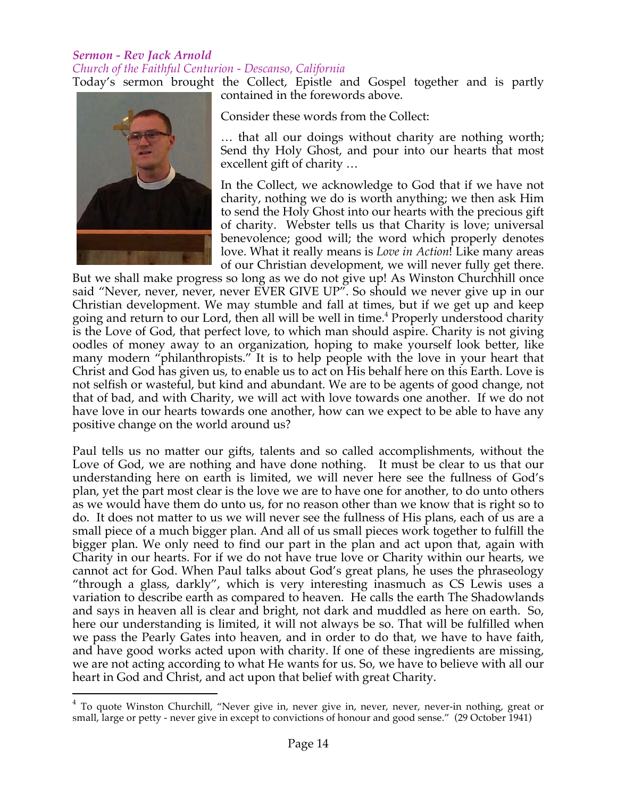## *Sermon - Rev Jack Arnold Church of the Faithful Centurion - Descanso, California*

Today's sermon brought the Collect, Epistle and Gospel together and is partly contained in the forewords above.



Consider these words from the Collect:

… that all our doings without charity are nothing worth; Send thy Holy Ghost, and pour into our hearts that most excellent gift of charity …

In the Collect, we acknowledge to God that if we have not charity, nothing we do is worth anything; we then ask Him to send the Holy Ghost into our hearts with the precious gift of charity. Webster tells us that Charity is love; universal benevolence; good will; the word which properly denotes love. What it really means is *Love in Action*! Like many areas of our Christian development, we will never fully get there.

But we shall make progress so long as we do not give up! As Winston Churchhill once said "Never, never, never, never EVER GIVE UP". So should we never give up in our Christian development. We may stumble and fall at times, but if we get up and keep going and return to our Lord, then all will be well in time.<sup>4</sup> Properly understood charity is the Love of God, that perfect love, to which man should aspire. Charity is not giving oodles of money away to an organization, hoping to make yourself look better, like many modern "philanthropists." It is to help people with the love in your heart that Christ and God has given us, to enable us to act on His behalf here on this Earth. Love is not selfish or wasteful, but kind and abundant. We are to be agents of good change, not that of bad, and with Charity, we will act with love towards one another. If we do not have love in our hearts towards one another, how can we expect to be able to have any positive change on the world around us?

Paul tells us no matter our gifts, talents and so called accomplishments, without the Love of God, we are nothing and have done nothing. It must be clear to us that our understanding here on earth is limited, we will never here see the fullness of God's plan, yet the part most clear is the love we are to have one for another, to do unto others as we would have them do unto us, for no reason other than we know that is right so to do. It does not matter to us we will never see the fullness of His plans, each of us are a small piece of a much bigger plan. And all of us small pieces work together to fulfill the bigger plan. We only need to find our part in the plan and act upon that, again with Charity in our hearts. For if we do not have true love or Charity within our hearts, we cannot act for God. When Paul talks about God's great plans, he uses the phraseology "through a glass, darkly", which is very interesting inasmuch as CS Lewis uses a variation to describe earth as compared to heaven. He calls the earth The Shadowlands and says in heaven all is clear and bright, not dark and muddled as here on earth. So, here our understanding is limited, it will not always be so. That will be fulfilled when we pass the Pearly Gates into heaven, and in order to do that, we have to have faith, and have good works acted upon with charity. If one of these ingredients are missing, we are not acting according to what He wants for us. So, we have to believe with all our heart in God and Christ, and act upon that belief with great Charity.

 $4$  To quote Winston Churchill, "Never give in, never give in, never, never, never-in nothing, great or small, large or petty - never give in except to convictions of honour and good sense." (29 October 1941)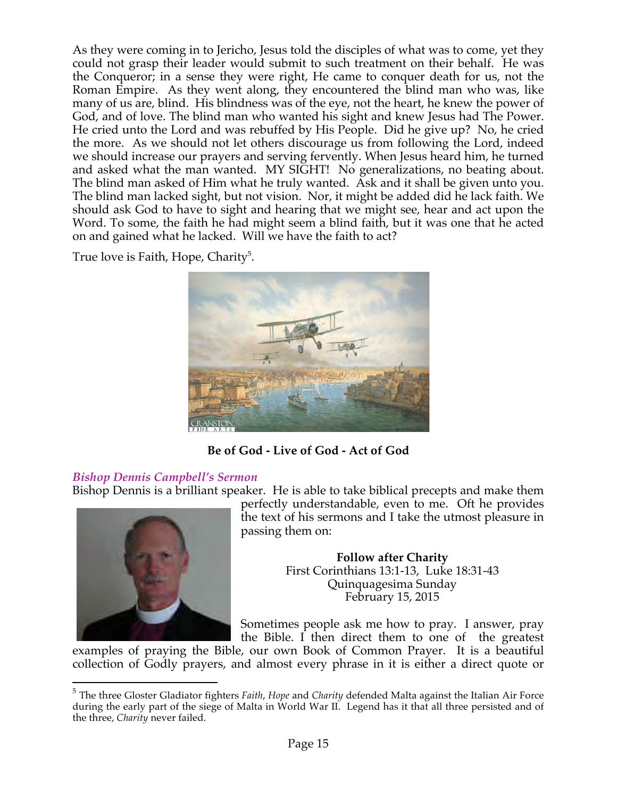As they were coming in to Jericho, Jesus told the disciples of what was to come, yet they could not grasp their leader would submit to such treatment on their behalf. He was the Conqueror; in a sense they were right, He came to conquer death for us, not the Roman Empire. As they went along, they encountered the blind man who was, like many of us are, blind. His blindness was of the eye, not the heart, he knew the power of God, and of love. The blind man who wanted his sight and knew Jesus had The Power. He cried unto the Lord and was rebuffed by His People. Did he give up? No, he cried the more. As we should not let others discourage us from following the Lord, indeed we should increase our prayers and serving fervently. When Jesus heard him, he turned and asked what the man wanted. MY SIGHT! No generalizations, no beating about. The blind man asked of Him what he truly wanted. Ask and it shall be given unto you. The blind man lacked sight, but not vision. Nor, it might be added did he lack faith. We should ask God to have to sight and hearing that we might see, hear and act upon the Word. To some, the faith he had might seem a blind faith, but it was one that he acted on and gained what he lacked. Will we have the faith to act?

True love is Faith, Hope, Charity<sup>5</sup>.



**Be of God - Live of God - Act of God**

## *Bishop Dennis Campbell's Sermon*

Bishop Dennis is a brilliant speaker. He is able to take biblical precepts and make them



perfectly understandable, even to me. Oft he provides the text of his sermons and I take the utmost pleasure in passing them on:

> **Follow after Charity** First Corinthians 13:1-13, Luke 18:31-43 Quinquagesima Sunday February 15, 2015

Sometimes people ask me how to pray. I answer, pray the Bible. I then direct them to one of the greatest

examples of praying the Bible, our own Book of Common Prayer. It is a beautiful collection of Godly prayers, and almost every phrase in it is either a direct quote or

 <sup>5</sup> The three Gloster Gladiator fighters *Faith*, *Hope* and *Charity* defended Malta against the Italian Air Force during the early part of the siege of Malta in World War II. Legend has it that all three persisted and of the three, *Charity* never failed.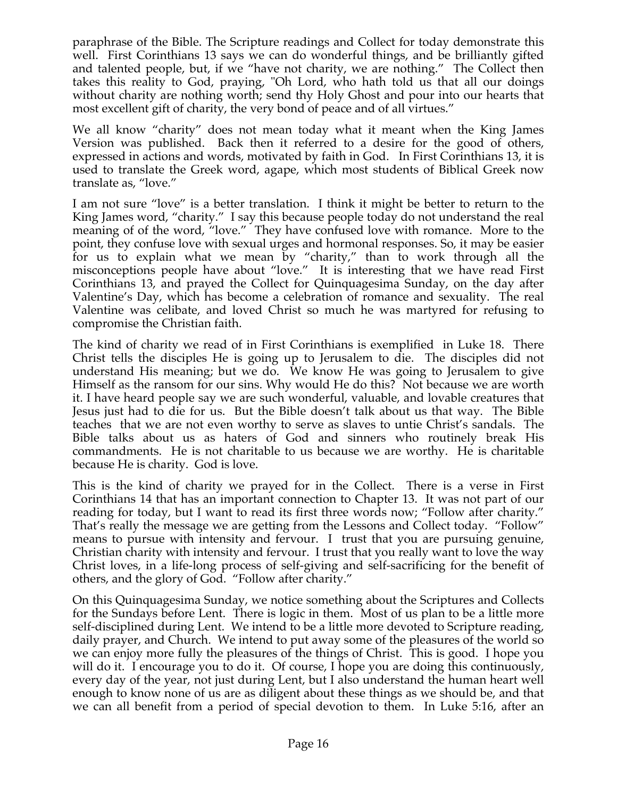paraphrase of the Bible. The Scripture readings and Collect for today demonstrate this well. First Corinthians 13 says we can do wonderful things, and be brilliantly gifted and talented people, but, if we "have not charity, we are nothing." The Collect then takes this reality to God, praying, "Oh Lord, who hath told us that all our doings without charity are nothing worth; send thy Holy Ghost and pour into our hearts that most excellent gift of charity, the very bond of peace and of all virtues."

We all know "charity" does not mean today what it meant when the King James Version was published. Back then it referred to a desire for the good of others, expressed in actions and words, motivated by faith in God. In First Corinthians 13, it is used to translate the Greek word, agape, which most students of Biblical Greek now translate as, "love."

I am not sure "love" is a better translation. I think it might be better to return to the King James word, "charity." I say this because people today do not understand the real meaning of of the word, "love." They have confused love with romance. More to the point, they confuse love with sexual urges and hormonal responses. So, it may be easier for us to explain what we mean by "charity," than to work through all the misconceptions people have about "love." It is interesting that we have read First Corinthians 13, and prayed the Collect for Quinquagesima Sunday, on the day after Valentine's Day, which has become a celebration of romance and sexuality. The real Valentine was celibate, and loved Christ so much he was martyred for refusing to compromise the Christian faith.

The kind of charity we read of in First Corinthians is exemplified in Luke 18. There Christ tells the disciples He is going up to Jerusalem to die. The disciples did not understand His meaning; but we do. We know He was going to Jerusalem to give Himself as the ransom for our sins. Why would He do this? Not because we are worth it. I have heard people say we are such wonderful, valuable, and lovable creatures that Jesus just had to die for us. But the Bible doesn't talk about us that way. The Bible teaches that we are not even worthy to serve as slaves to untie Christ's sandals. The Bible talks about us as haters of God and sinners who routinely break His commandments. He is not charitable to us because we are worthy. He is charitable because He is charity. God is love.

This is the kind of charity we prayed for in the Collect. There is a verse in First Corinthians 14 that has an important connection to Chapter 13. It was not part of our reading for today, but I want to read its first three words now; "Follow after charity." That's really the message we are getting from the Lessons and Collect today. "Follow" means to pursue with intensity and fervour. I trust that you are pursuing genuine, Christian charity with intensity and fervour. I trust that you really want to love the way Christ loves, in a life-long process of self-giving and self-sacrificing for the benefit of others, and the glory of God. "Follow after charity."

On this Quinquagesima Sunday, we notice something about the Scriptures and Collects for the Sundays before Lent. There is logic in them. Most of us plan to be a little more self-disciplined during Lent. We intend to be a little more devoted to Scripture reading, daily prayer, and Church. We intend to put away some of the pleasures of the world so we can enjoy more fully the pleasures of the things of Christ. This is good. I hope you will do it. I encourage you to do it. Of course, I hope you are doing this continuously, every day of the year, not just during Lent, but I also understand the human heart well enough to know none of us are as diligent about these things as we should be, and that we can all benefit from a period of special devotion to them. In Luke 5:16, after an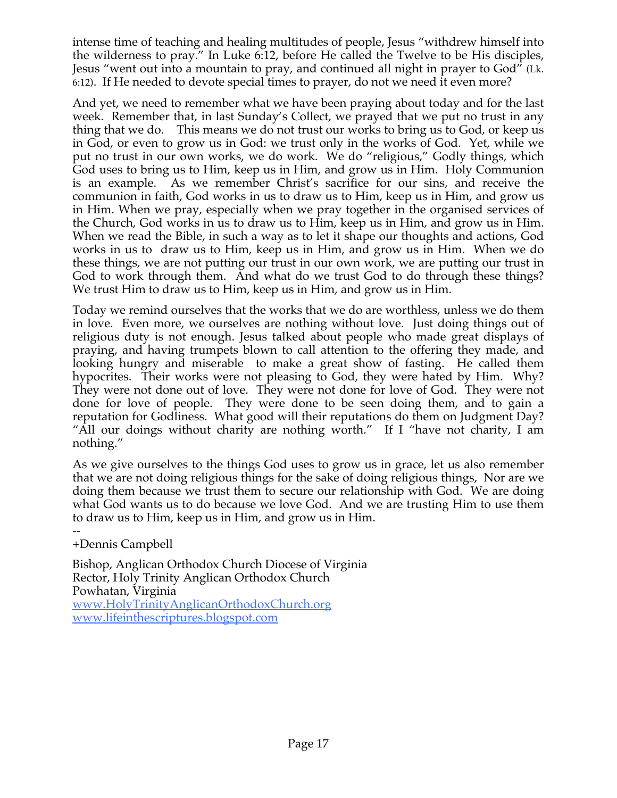intense time of teaching and healing multitudes of people, Jesus "withdrew himself into the wilderness to pray." In Luke 6:12, before He called the Twelve to be His disciples, Jesus "went out into a mountain to pray, and continued all night in prayer to God" (Lk. 6:12). If He needed to devote special times to prayer, do not we need it even more?

And yet, we need to remember what we have been praying about today and for the last week. Remember that, in last Sunday's Collect, we prayed that we put no trust in any thing that we do. This means we do not trust our works to bring us to God, or keep us in God, or even to grow us in God: we trust only in the works of God. Yet, while we put no trust in our own works, we do work. We do "religious," Godly things, which God uses to bring us to Him, keep us in Him, and grow us in Him. Holy Communion is an example. As we remember Christ's sacrifice for our sins, and receive the communion in faith, God works in us to draw us to Him, keep us in Him, and grow us in Him. When we pray, especially when we pray together in the organised services of the Church, God works in us to draw us to Him, keep us in Him, and grow us in Him. When we read the Bible, in such a way as to let it shape our thoughts and actions, God works in us to draw us to Him, keep us in Him, and grow us in Him. When we do these things, we are not putting our trust in our own work, we are putting our trust in God to work through them. And what do we trust God to do through these things? We trust Him to draw us to Him, keep us in Him, and grow us in Him.

Today we remind ourselves that the works that we do are worthless, unless we do them in love. Even more, we ourselves are nothing without love. Just doing things out of religious duty is not enough. Jesus talked about people who made great displays of praying, and having trumpets blown to call attention to the offering they made, and looking hungry and miserable to make a great show of fasting. He called them hypocrites. Their works were not pleasing to God, they were hated by Him. Why? They were not done out of love. They were not done for love of God. They were not done for love of people. They were done to be seen doing them, and to gain a reputation for Godliness. What good will their reputations do them on Judgment Day? "All our doings without charity are nothing worth." If I "have not charity, I am nothing."

As we give ourselves to the things God uses to grow us in grace, let us also remember that we are not doing religious things for the sake of doing religious things, Nor are we doing them because we trust them to secure our relationship with God. We are doing what God wants us to do because we love God. And we are trusting Him to use them to draw us to Him, keep us in Him, and grow us in Him.

-- +Dennis Campbell

Bishop, Anglican Orthodox Church Diocese of Virginia Rector, Holy Trinity Anglican Orthodox Church Powhatan, Virginia www.HolyTrinityAnglicanOrthodoxChurch.org www.lifeinthescriptures.blogspot.com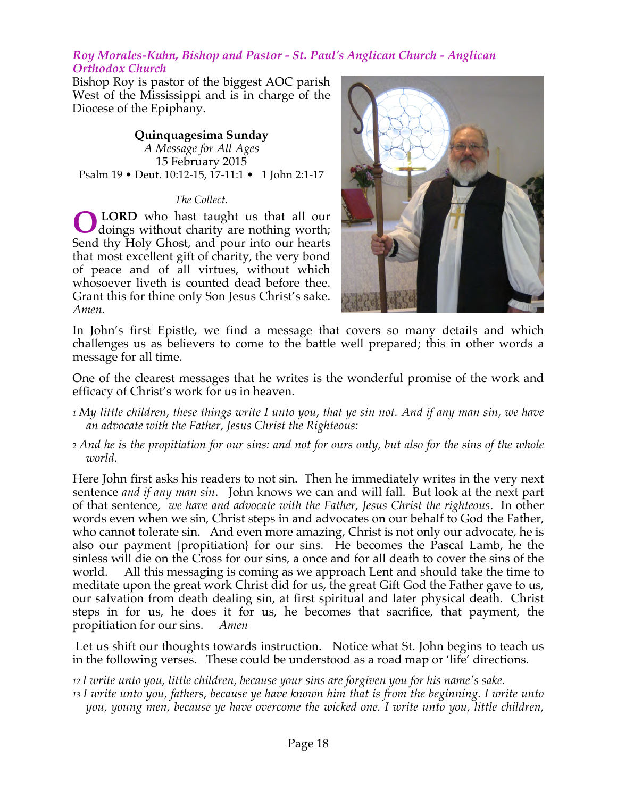#### *Roy Morales-Kuhn, Bishop and Pastor - St. Paul's Anglican Church - Anglican Orthodox Church*

Bishop Roy is pastor of the biggest AOC parish West of the Mississippi and is in charge of the Diocese of the Epiphany.

#### **Quinquagesima Sunday**

*A Message for All Ages* 15 February 2015 Psalm 19 • Deut. 10:12-15, 17-11:1 • 1 John 2:1-17

#### *The Collect.*

 **LORD** who hast taught us that all our doings without charity are nothing worth; Send thy Holy Ghost, and pour into our hearts that most excellent gift of charity, the very bond of peace and of all virtues, without which whosoever liveth is counted dead before thee. Grant this for thine only Son Jesus Christ's sake. *Amen.* **O**



In John's first Epistle, we find a message that covers so many details and which challenges us as believers to come to the battle well prepared; this in other words a message for all time.

One of the clearest messages that he writes is the wonderful promise of the work and efficacy of Christ's work for us in heaven.

- *1 My little children, these things write I unto you, that ye sin not. And if any man sin, we have an advocate with the Father, Jesus Christ the Righteous:*
- <sup>2</sup>*And he is the propitiation for our sins: and not for ours only, but also for the sins of the whole world*.

Here John first asks his readers to not sin. Then he immediately writes in the very next sentence *and if any man sin*. John knows we can and will fall. But look at the next part of that sentence, *we have and advocate with the Father, Jesus Christ the righteous*. In other words even when we sin, Christ steps in and advocates on our behalf to God the Father, who cannot tolerate sin. And even more amazing, Christ is not only our advocate, he is also our payment {propitiation} for our sins. He becomes the Pascal Lamb, he the sinless will die on the Cross for our sins, a once and for all death to cover the sins of the world. All this messaging is coming as we approach Lent and should take the time to meditate upon the great work Christ did for us, the great Gift God the Father gave to us, our salvation from death dealing sin, at first spiritual and later physical death. Christ steps in for us, he does it for us, he becomes that sacrifice, that payment, the propitiation for our sins. *Amen*

 Let us shift our thoughts towards instruction. Notice what St. John begins to teach us in the following verses. These could be understood as a road map or 'life' directions.

*12 I write unto you, little children, because your sins are forgiven you for his name's sake. 13 I write unto you, fathers, because ye have known him that is from the beginning. I write unto you, young men, because ye have overcome the wicked one. I write unto you, little children,*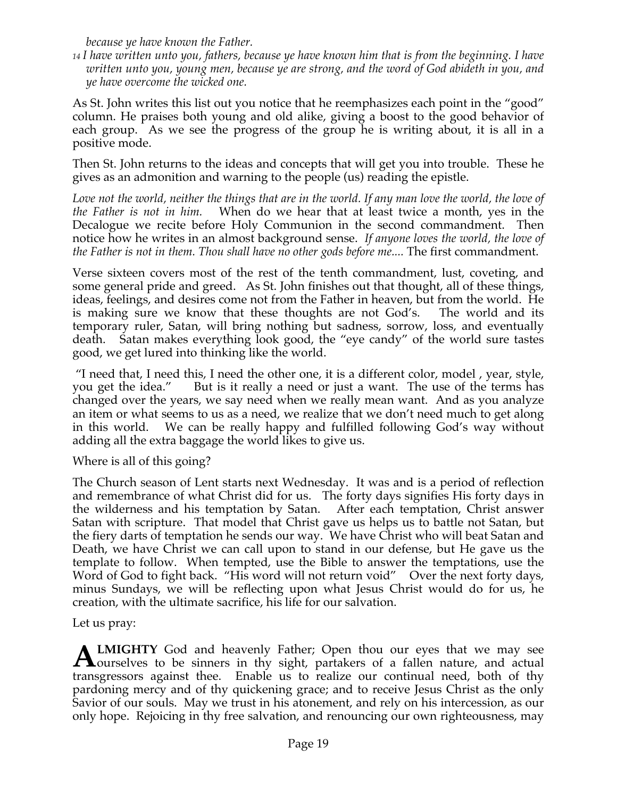*because ye have known the Father.*

*14 I have written unto you, fathers, because ye have known him that is from the beginning. I have written unto you, young men, because ye are strong, and the word of God abideth in you, and ye have overcome the wicked one.*

As St. John writes this list out you notice that he reemphasizes each point in the "good" column. He praises both young and old alike, giving a boost to the good behavior of each group. As we see the progress of the group he is writing about, it is all in a positive mode.

Then St. John returns to the ideas and concepts that will get you into trouble. These he gives as an admonition and warning to the people (us) reading the epistle.

Love not the world, neither the things that are in the world. If any man love the world, the love of *the Father is not in him.* When do we hear that at least twice a month, yes in the Decalogue we recite before Holy Communion in the second commandment. Then notice how he writes in an almost background sense. *If anyone loves the world, the love of the Father is not in them. Thou shall have no other gods before me....* The first commandment.

Verse sixteen covers most of the rest of the tenth commandment, lust, coveting, and some general pride and greed. As St. John finishes out that thought, all of these things, ideas, feelings, and desires come not from the Father in heaven, but from the world. He is making sure we know that these thoughts are not God's. The world and its temporary ruler, Satan, will bring nothing but sadness, sorrow, loss, and eventually death. Satan makes everything look good, the "eye candy" of the world sure tastes good, we get lured into thinking like the world.

 "I need that, I need this, I need the other one, it is a different color, model , year, style, you get the idea." But is it really a need or just a want. The use of the terms has changed over the years, we say need when we really mean want. And as you analyze an item or what seems to us as a need, we realize that we don't need much to get along in this world. We can be really happy and fulfilled following God's way without adding all the extra baggage the world likes to give us.

Where is all of this going?

The Church season of Lent starts next Wednesday. It was and is a period of reflection and remembrance of what Christ did for us. The forty days signifies His forty days in the wilderness and his temptation by Satan. After each temptation, Christ answer Satan with scripture. That model that Christ gave us helps us to battle not Satan, but the fiery darts of temptation he sends our way. We have Christ who will beat Satan and Death, we have Christ we can call upon to stand in our defense, but He gave us the template to follow. When tempted, use the Bible to answer the temptations, use the Word of God to fight back. "His word will not return void" Over the next forty days, minus Sundays, we will be reflecting upon what Jesus Christ would do for us, he creation, with the ultimate sacrifice, his life for our salvation.

Let us pray:

**LMIGHTY** God and heavenly Father; Open thou our eyes that we may see **ALMIGHTY** God and heavenly Father; Open thou our eyes that we may see courselves to be sinners in thy sight, partakers of a fallen nature, and actual transgressors against thee. Enable us to realize our continual need, both of thy pardoning mercy and of thy quickening grace; and to receive Jesus Christ as the only Savior of our souls. May we trust in his atonement, and rely on his intercession, as our only hope. Rejoicing in thy free salvation, and renouncing our own righteousness, may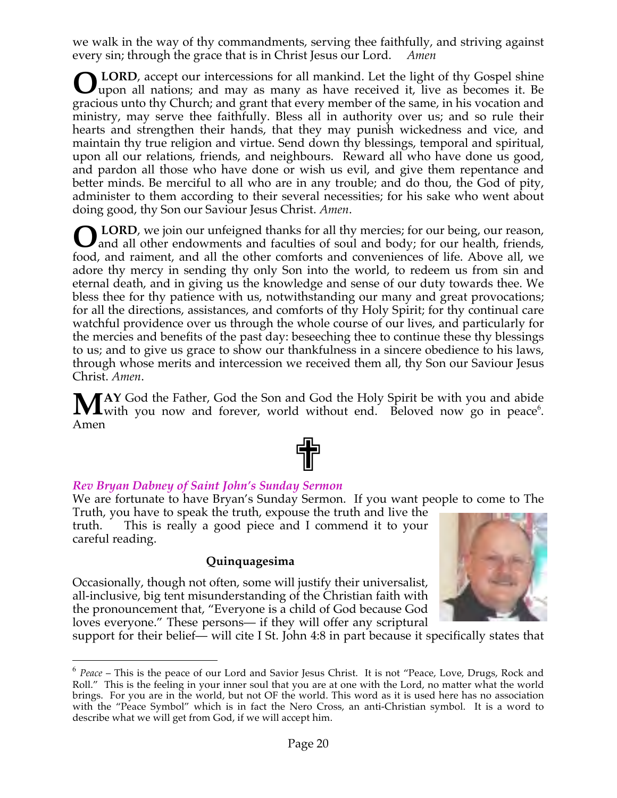we walk in the way of thy commandments, serving thee faithfully, and striving against every sin; through the grace that is in Christ Jesus our Lord. *Amen*

 **LORD**, accept our intercessions for all mankind. Let the light of thy Gospel shine upon all nations; and may as many as have received it, live as becomes it. Be gracious unto thy Church; and grant that every member of the same, in his vocation and ministry, may serve thee faithfully. Bless all in authority over us; and so rule their hearts and strengthen their hands, that they may punish wickedness and vice, and maintain thy true religion and virtue. Send down thy blessings, temporal and spiritual, upon all our relations, friends, and neighbours. Reward all who have done us good, and pardon all those who have done or wish us evil, and give them repentance and better minds. Be merciful to all who are in any trouble; and do thou, the God of pity, administer to them according to their several necessities; for his sake who went about doing good, thy Son our Saviour Jesus Christ. *Amen*. **O**

 **LORD**, we join our unfeigned thanks for all thy mercies; for our being, our reason, and all other endowments and faculties of soul and body; for our health, friends, and all other endowments and faculties of soul and body; for our health, friends, food, and raiment, and all the other comforts and conveniences of life. Above all, we adore thy mercy in sending thy only Son into the world, to redeem us from sin and eternal death, and in giving us the knowledge and sense of our duty towards thee. We bless thee for thy patience with us, notwithstanding our many and great provocations; for all the directions, assistances, and comforts of thy Holy Spirit; for thy continual care watchful providence over us through the whole course of our lives, and particularly for the mercies and benefits of the past day: beseeching thee to continue these thy blessings to us; and to give us grace to show our thankfulness in a sincere obedience to his laws, through whose merits and intercession we received them all, thy Son our Saviour Jesus Christ. *Amen*.

**MAY** God the Father, God the Son and God the Holy Spirit be with you and abide with you now and forever, world without end. Beloved now go in peace<sup>6</sup>. with you now and forever, world without end. Beloved now go in peace<sup>6</sup>. Amen

# ✟ *Rev Bryan Dabney of Saint John's Sunday Sermon*

We are fortunate to have Bryan's Sunday Sermon. If you want people to come to The

Truth, you have to speak the truth, expouse the truth and live the truth. This is really a good piece and I commend it to your careful reading.

## **Quinquagesima**

Occasionally, though not often, some will justify their universalist, all-inclusive, big tent misunderstanding of the Christian faith with the pronouncement that, "Everyone is a child of God because God loves everyone." These persons— if they will offer any scriptural



support for their belief— will cite I St. John 4:8 in part because it specifically states that

 <sup>6</sup> *Peace* – This is the peace of our Lord and Savior Jesus Christ. It is not "Peace, Love, Drugs, Rock and Roll." This is the feeling in your inner soul that you are at one with the Lord, no matter what the world brings. For you are in the world, but not OF the world. This word as it is used here has no association with the "Peace Symbol" which is in fact the Nero Cross, an anti-Christian symbol. It is a word to describe what we will get from God, if we will accept him.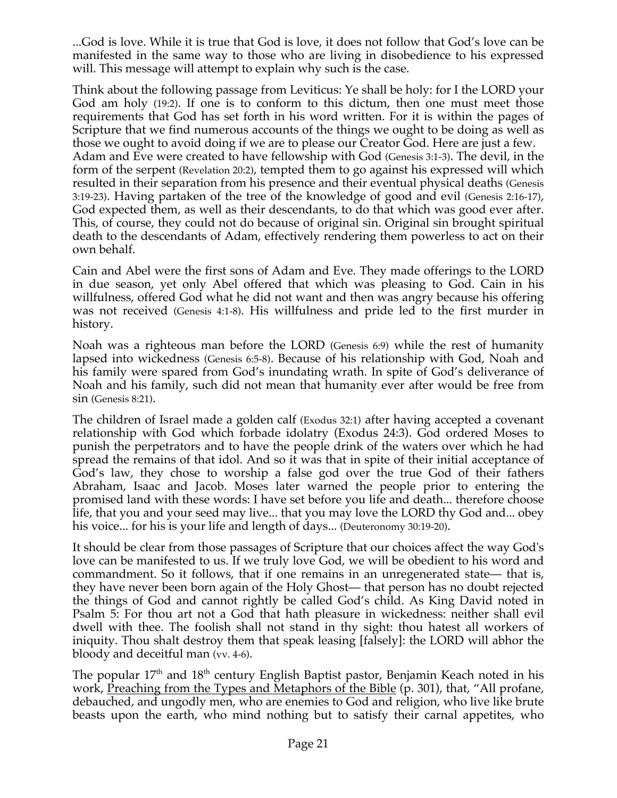...God is love. While it is true that God is love, it does not follow that God's love can be manifested in the same way to those who are living in disobedience to his expressed will. This message will attempt to explain why such is the case.

Think about the following passage from Leviticus: Ye shall be holy: for I the LORD your God am holy (19:2). If one is to conform to this dictum, then one must meet those requirements that God has set forth in his word written. For it is within the pages of Scripture that we find numerous accounts of the things we ought to be doing as well as those we ought to avoid doing if we are to please our Creator God. Here are just a few. Adam and Eve were created to have fellowship with God (Genesis 3:1-3). The devil, in the form of the serpent (Revelation 20:2), tempted them to go against his expressed will which resulted in their separation from his presence and their eventual physical deaths (Genesis 3:19-23). Having partaken of the tree of the knowledge of good and evil (Genesis 2:16-17), God expected them, as well as their descendants, to do that which was good ever after. This, of course, they could not do because of original sin. Original sin brought spiritual death to the descendants of Adam, effectively rendering them powerless to act on their own behalf.

Cain and Abel were the first sons of Adam and Eve. They made offerings to the LORD in due season, yet only Abel offered that which was pleasing to God. Cain in his willfulness, offered God what he did not want and then was angry because his offering was not received (Genesis 4:1-8). His willfulness and pride led to the first murder in history.

Noah was a righteous man before the LORD (Genesis 6:9) while the rest of humanity lapsed into wickedness (Genesis 6:5-8). Because of his relationship with God, Noah and his family were spared from God's inundating wrath. In spite of God's deliverance of Noah and his family, such did not mean that humanity ever after would be free from sin (Genesis 8:21).

The children of Israel made a golden calf (Exodus 32:1) after having accepted a covenant relationship with God which forbade idolatry (Exodus 24:3). God ordered Moses to punish the perpetrators and to have the people drink of the waters over which he had spread the remains of that idol. And so it was that in spite of their initial acceptance of God's law, they chose to worship a false god over the true God of their fathers Abraham, Isaac and Jacob. Moses later warned the people prior to entering the promised land with these words: I have set before you life and death... therefore choose life, that you and your seed may live... that you may love the LORD thy God and... obey his voice... for his is your life and length of days... (Deuteronomy 30:19-20).

It should be clear from those passages of Scripture that our choices affect the way God's love can be manifested to us. If we truly love God, we will be obedient to his word and commandment. So it follows, that if one remains in an unregenerated state— that is, they have never been born again of the Holy Ghost— that person has no doubt rejected the things of God and cannot rightly be called God's child. As King David noted in Psalm 5: For thou art not a God that hath pleasure in wickedness: neither shall evil dwell with thee. The foolish shall not stand in thy sight: thou hatest all workers of iniquity. Thou shalt destroy them that speak leasing [falsely]: the LORD will abhor the bloody and deceitful man (vv. 4-6).

The popular  $17<sup>th</sup>$  and  $18<sup>th</sup>$  century English Baptist pastor, Benjamin Keach noted in his work, Preaching from the Types and Metaphors of the Bible (p. 301), that, "All profane, debauched, and ungodly men, who are enemies to God and religion, who live like brute beasts upon the earth, who mind nothing but to satisfy their carnal appetites, who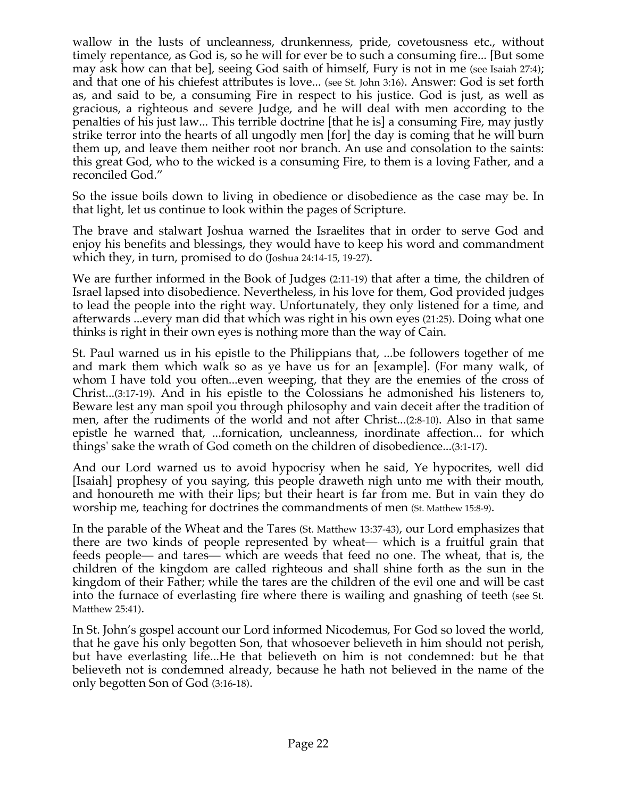wallow in the lusts of uncleanness, drunkenness, pride, covetousness etc., without timely repentance, as God is, so he will for ever be to such a consuming fire... [But some may ask how can that be], seeing God saith of himself, Fury is not in me (see Isaiah 27:4); and that one of his chiefest attributes is love... (see St. John 3:16). Answer: God is set forth as, and said to be, a consuming Fire in respect to his justice. God is just, as well as gracious, a righteous and severe Judge, and he will deal with men according to the penalties of his just law... This terrible doctrine [that he is] a consuming Fire, may justly strike terror into the hearts of all ungodly men [for] the day is coming that he will burn them up, and leave them neither root nor branch. An use and consolation to the saints: this great God, who to the wicked is a consuming Fire, to them is a loving Father, and a reconciled God."

So the issue boils down to living in obedience or disobedience as the case may be. In that light, let us continue to look within the pages of Scripture.

The brave and stalwart Joshua warned the Israelites that in order to serve God and enjoy his benefits and blessings, they would have to keep his word and commandment which they, in turn, promised to do (Joshua 24:14-15, 19-27).

We are further informed in the Book of Judges (2:11-19) that after a time, the children of Israel lapsed into disobedience. Nevertheless, in his love for them, God provided judges to lead the people into the right way. Unfortunately, they only listened for a time, and afterwards ...every man did that which was right in his own eyes (21:25). Doing what one thinks is right in their own eyes is nothing more than the way of Cain.

St. Paul warned us in his epistle to the Philippians that, ...be followers together of me and mark them which walk so as ye have us for an [example]. (For many walk, of whom I have told you often...even weeping, that they are the enemies of the cross of Christ...(3:17-19). And in his epistle to the Colossians he admonished his listeners to, Beware lest any man spoil you through philosophy and vain deceit after the tradition of men, after the rudiments of the world and not after Christ...(2:8-10). Also in that same epistle he warned that, ...fornication, uncleanness, inordinate affection... for which things' sake the wrath of God cometh on the children of disobedience...(3:1-17).

And our Lord warned us to avoid hypocrisy when he said, Ye hypocrites, well did [Isaiah] prophesy of you saying, this people draweth nigh unto me with their mouth, and honoureth me with their lips; but their heart is far from me. But in vain they do worship me, teaching for doctrines the commandments of men (St. Matthew 15:8-9).

In the parable of the Wheat and the Tares (St. Matthew 13:37-43), our Lord emphasizes that there are two kinds of people represented by wheat— which is a fruitful grain that feeds people— and tares— which are weeds that feed no one. The wheat, that is, the children of the kingdom are called righteous and shall shine forth as the sun in the kingdom of their Father; while the tares are the children of the evil one and will be cast into the furnace of everlasting fire where there is wailing and gnashing of teeth (see St. Matthew 25:41).

In St. John's gospel account our Lord informed Nicodemus, For God so loved the world, that he gave his only begotten Son, that whosoever believeth in him should not perish, but have everlasting life...He that believeth on him is not condemned: but he that believeth not is condemned already, because he hath not believed in the name of the only begotten Son of God (3:16-18).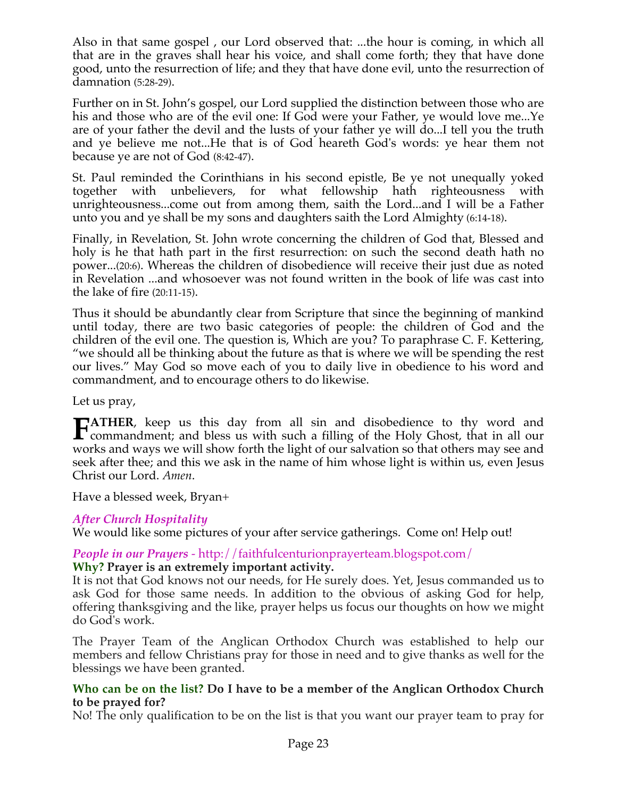Also in that same gospel , our Lord observed that: ...the hour is coming, in which all that are in the graves shall hear his voice, and shall come forth; they that have done good, unto the resurrection of life; and they that have done evil, unto the resurrection of damnation (5:28-29).

Further on in St. John's gospel, our Lord supplied the distinction between those who are his and those who are of the evil one: If God were your Father, ye would love me...Ye are of your father the devil and the lusts of your father ye will do...I tell you the truth and ye believe me not...He that is of God heareth God's words: ye hear them not because ye are not of God (8:42-47).

St. Paul reminded the Corinthians in his second epistle, Be ye not unequally yoked together with unbelievers, for what fellowship hath righteousness with unrighteousness...come out from among them, saith the Lord...and I will be a Father unto you and ye shall be my sons and daughters saith the Lord Almighty (6:14-18).

Finally, in Revelation, St. John wrote concerning the children of God that, Blessed and holy is he that hath part in the first resurrection: on such the second death hath no power...(20:6). Whereas the children of disobedience will receive their just due as noted in Revelation ...and whosoever was not found written in the book of life was cast into the lake of fire (20:11-15).

Thus it should be abundantly clear from Scripture that since the beginning of mankind until today, there are two basic categories of people: the children of God and the children of the evil one. The question is, Which are you? To paraphrase C. F. Kettering, "we should all be thinking about the future as that is where we will be spending the rest our lives." May God so move each of you to daily live in obedience to his word and commandment, and to encourage others to do likewise.

Let us pray,

**ATHER**, keep us this day from all sin and disobedience to thy word and **FATHER**, keep us this day from all sin and disobedience to thy word and commandment; and bless us with such a filling of the Holy Ghost, that in all our works and ways we will show forth the light of our salvation so that others may see and seek after thee; and this we ask in the name of him whose light is within us, even Jesus Christ our Lord. *Amen*.

Have a blessed week, Bryan+

*After Church Hospitality*

We would like some pictures of your after service gatherings. Come on! Help out!

## *People in our Prayers* - http://faithfulcenturionprayerteam.blogspot.com/

## **Why? Prayer is an extremely important activity.**

It is not that God knows not our needs, for He surely does. Yet, Jesus commanded us to ask God for those same needs. In addition to the obvious of asking God for help, offering thanksgiving and the like, prayer helps us focus our thoughts on how we might do God's work.

The Prayer Team of the Anglican Orthodox Church was established to help our members and fellow Christians pray for those in need and to give thanks as well for the blessings we have been granted.

#### **Who can be on the list? Do I have to be a member of the Anglican Orthodox Church to be prayed for?**

No! The only qualification to be on the list is that you want our prayer team to pray for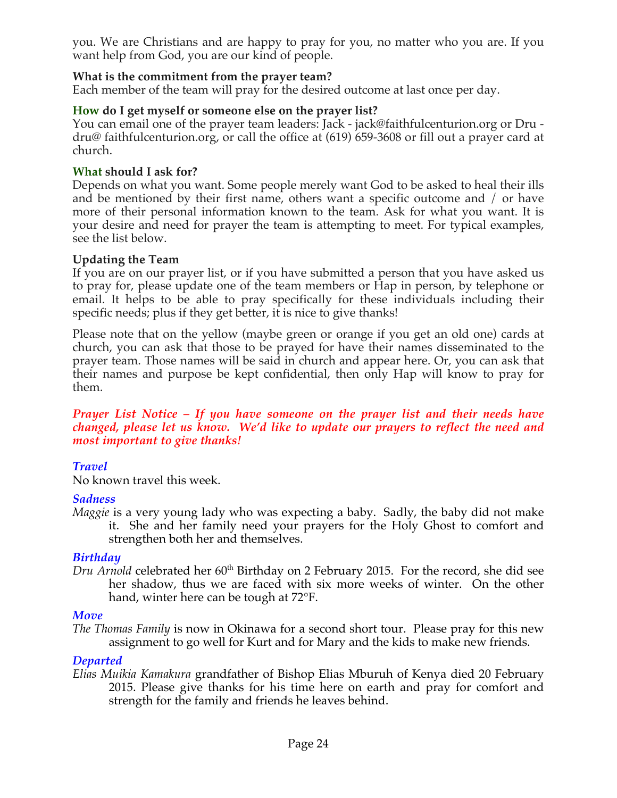you. We are Christians and are happy to pray for you, no matter who you are. If you want help from God, you are our kind of people.

## **What is the commitment from the prayer team?**

Each member of the team will pray for the desired outcome at last once per day.

## **How do I get myself or someone else on the prayer list?**

You can email one of the prayer team leaders: Jack - jack@faithfulcenturion.org or Dru dru@ faithfulcenturion.org, or call the office at (619) 659-3608 or fill out a prayer card at church.

#### **What should I ask for?**

Depends on what you want. Some people merely want God to be asked to heal their ills and be mentioned by their first name, others want a specific outcome and / or have more of their personal information known to the team. Ask for what you want. It is your desire and need for prayer the team is attempting to meet. For typical examples, see the list below.

#### **Updating the Team**

If you are on our prayer list, or if you have submitted a person that you have asked us to pray for, please update one of the team members or Hap in person, by telephone or email. It helps to be able to pray specifically for these individuals including their specific needs; plus if they get better, it is nice to give thanks!

Please note that on the yellow (maybe green or orange if you get an old one) cards at church, you can ask that those to be prayed for have their names disseminated to the prayer team. Those names will be said in church and appear here. Or, you can ask that their names and purpose be kept confidential, then only Hap will know to pray for them.

#### *Prayer List Notice – If you have someone on the prayer list and their needs have changed, please let us know. We'd like to update our prayers to reflect the need and most important to give thanks!*

## *Travel*

No known travel this week.

#### *Sadness*

*Maggie* is a very young lady who was expecting a baby. Sadly, the baby did not make it. She and her family need your prayers for the Holy Ghost to comfort and strengthen both her and themselves.

#### *Birthday*

*Dru Arnold* celebrated her 60<sup>th</sup> Birthday on 2 February 2015. For the record, she did see her shadow, thus we are faced with six more weeks of winter. On the other hand, winter here can be tough at 72°F.

#### *Move*

*The Thomas Family* is now in Okinawa for a second short tour. Please pray for this new assignment to go well for Kurt and for Mary and the kids to make new friends.

#### *Departed*

*Elias Muikia Kamakura* grandfather of Bishop Elias Mburuh of Kenya died 20 February 2015. Please give thanks for his time here on earth and pray for comfort and strength for the family and friends he leaves behind.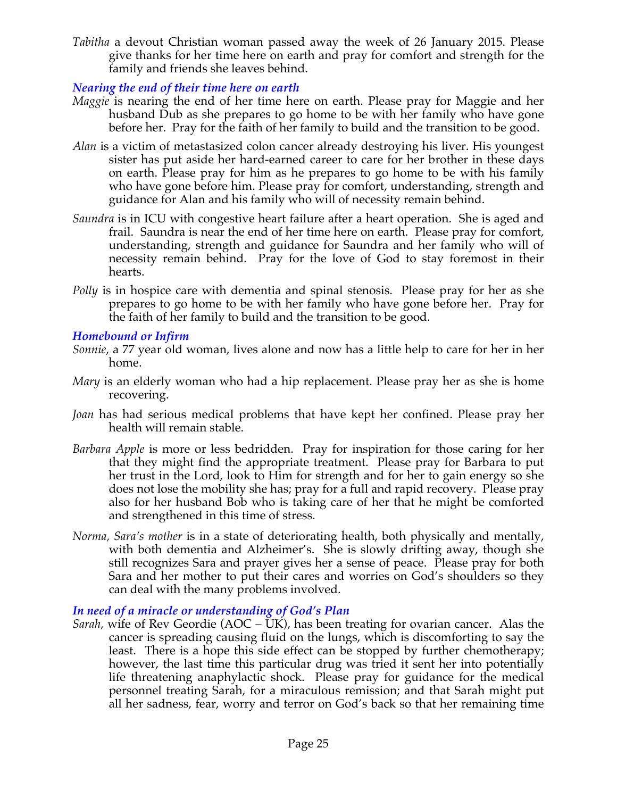*Tabitha* a devout Christian woman passed away the week of 26 January 2015. Please give thanks for her time here on earth and pray for comfort and strength for the family and friends she leaves behind.

*Nearing the end of their time here on earth*

- *Maggie* is nearing the end of her time here on earth. Please pray for Maggie and her husband Dub as she prepares to go home to be with her family who have gone before her. Pray for the faith of her family to build and the transition to be good.
- *Alan* is a victim of metastasized colon cancer already destroying his liver. His youngest sister has put aside her hard-earned career to care for her brother in these days on earth. Please pray for him as he prepares to go home to be with his family who have gone before him. Please pray for comfort, understanding, strength and guidance for Alan and his family who will of necessity remain behind.
- *Saundra* is in ICU with congestive heart failure after a heart operation. She is aged and frail. Saundra is near the end of her time here on earth. Please pray for comfort, understanding, strength and guidance for Saundra and her family who will of necessity remain behind. Pray for the love of God to stay foremost in their hearts.
- *Polly* is in hospice care with dementia and spinal stenosis. Please pray for her as she prepares to go home to be with her family who have gone before her. Pray for the faith of her family to build and the transition to be good.

## *Homebound or Infirm*

- *Sonnie*, a 77 year old woman, lives alone and now has a little help to care for her in her home.
- *Mary* is an elderly woman who had a hip replacement. Please pray her as she is home recovering.
- *Joan* has had serious medical problems that have kept her confined. Please pray her health will remain stable.
- *Barbara Apple* is more or less bedridden. Pray for inspiration for those caring for her that they might find the appropriate treatment. Please pray for Barbara to put her trust in the Lord, look to Him for strength and for her to gain energy so she does not lose the mobility she has; pray for a full and rapid recovery. Please pray also for her husband Bob who is taking care of her that he might be comforted and strengthened in this time of stress.
- *Norma, Sara's mother* is in a state of deteriorating health, both physically and mentally, with both dementia and Alzheimer's. She is slowly drifting away, though she still recognizes Sara and prayer gives her a sense of peace. Please pray for both Sara and her mother to put their cares and worries on God's shoulders so they can deal with the many problems involved.

*In need of a miracle or understanding of God's Plan*

*Sarah,* wife of Rev Geordie (AOC – UK), has been treating for ovarian cancer. Alas the cancer is spreading causing fluid on the lungs, which is discomforting to say the least. There is a hope this side effect can be stopped by further chemotherapy; however, the last time this particular drug was tried it sent her into potentially life threatening anaphylactic shock. Please pray for guidance for the medical personnel treating Sarah, for a miraculous remission; and that Sarah might put all her sadness, fear, worry and terror on God's back so that her remaining time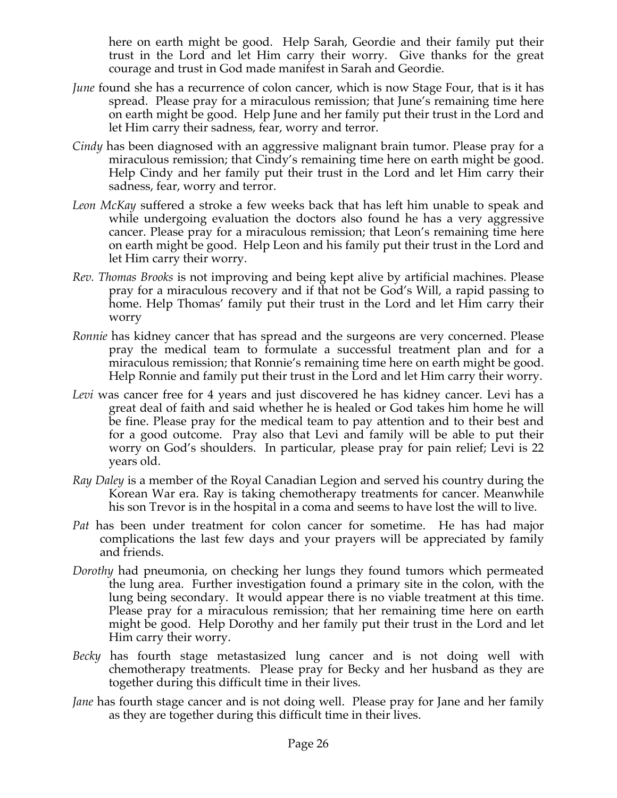here on earth might be good. Help Sarah, Geordie and their family put their trust in the Lord and let Him carry their worry. Give thanks for the great courage and trust in God made manifest in Sarah and Geordie.

- *June* found she has a recurrence of colon cancer, which is now Stage Four, that is it has spread. Please pray for a miraculous remission; that June's remaining time here on earth might be good. Help June and her family put their trust in the Lord and let Him carry their sadness, fear, worry and terror.
- *Cindy* has been diagnosed with an aggressive malignant brain tumor. Please pray for a miraculous remission; that Cindy's remaining time here on earth might be good. Help Cindy and her family put their trust in the Lord and let Him carry their sadness, fear, worry and terror.
- *Leon McKay* suffered a stroke a few weeks back that has left him unable to speak and while undergoing evaluation the doctors also found he has a very aggressive cancer. Please pray for a miraculous remission; that Leon's remaining time here on earth might be good. Help Leon and his family put their trust in the Lord and let Him carry their worry.
- *Rev. Thomas Brooks* is not improving and being kept alive by artificial machines. Please pray for a miraculous recovery and if that not be God's Will, a rapid passing to home. Help Thomas' family put their trust in the Lord and let Him carry their worry
- *Ronnie* has kidney cancer that has spread and the surgeons are very concerned. Please pray the medical team to formulate a successful treatment plan and for a miraculous remission; that Ronnie's remaining time here on earth might be good. Help Ronnie and family put their trust in the Lord and let Him carry their worry.
- *Levi* was cancer free for 4 years and just discovered he has kidney cancer. Levi has a great deal of faith and said whether he is healed or God takes him home he will be fine. Please pray for the medical team to pay attention and to their best and for a good outcome. Pray also that Levi and family will be able to put their worry on God's shoulders. In particular, please pray for pain relief; Levi is 22 years old.
- *Ray Daley* is a member of the Royal Canadian Legion and served his country during the Korean War era. Ray is taking chemotherapy treatments for cancer. Meanwhile his son Trevor is in the hospital in a coma and seems to have lost the will to live.
- *Pat* has been under treatment for colon cancer for sometime. He has had major complications the last few days and your prayers will be appreciated by family and friends.
- *Dorothy* had pneumonia, on checking her lungs they found tumors which permeated the lung area. Further investigation found a primary site in the colon, with the lung being secondary. It would appear there is no viable treatment at this time. Please pray for a miraculous remission; that her remaining time here on earth might be good. Help Dorothy and her family put their trust in the Lord and let Him carry their worry.
- *Becky* has fourth stage metastasized lung cancer and is not doing well with chemotherapy treatments. Please pray for Becky and her husband as they are together during this difficult time in their lives.
- *Jane* has fourth stage cancer and is not doing well. Please pray for Jane and her family as they are together during this difficult time in their lives.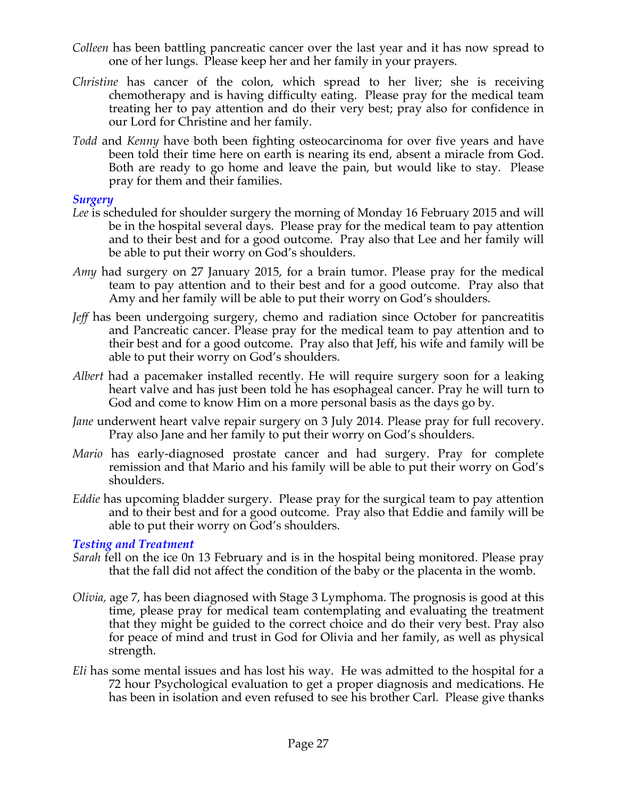- *Colleen* has been battling pancreatic cancer over the last year and it has now spread to one of her lungs. Please keep her and her family in your prayers.
- *Christine* has cancer of the colon, which spread to her liver; she is receiving chemotherapy and is having difficulty eating. Please pray for the medical team treating her to pay attention and do their very best; pray also for confidence in our Lord for Christine and her family.
- *Todd* and *Kenny* have both been fighting osteocarcinoma for over five years and have been told their time here on earth is nearing its end, absent a miracle from God. Both are ready to go home and leave the pain, but would like to stay. Please pray for them and their families.

#### *Surgery*

- *Lee* is scheduled for shoulder surgery the morning of Monday 16 February 2015 and will be in the hospital several days. Please pray for the medical team to pay attention and to their best and for a good outcome. Pray also that Lee and her family will be able to put their worry on God's shoulders.
- *Amy* had surgery on 27 January 2015, for a brain tumor. Please pray for the medical team to pay attention and to their best and for a good outcome. Pray also that Amy and her family will be able to put their worry on God's shoulders.
- *Jeff* has been undergoing surgery, chemo and radiation since October for pancreatitis and Pancreatic cancer. Please pray for the medical team to pay attention and to their best and for a good outcome. Pray also that Jeff, his wife and family will be able to put their worry on God's shoulders.
- *Albert* had a pacemaker installed recently. He will require surgery soon for a leaking heart valve and has just been told he has esophageal cancer. Pray he will turn to God and come to know Him on a more personal basis as the days go by.
- *Jane* underwent heart valve repair surgery on 3 July 2014. Please pray for full recovery. Pray also Jane and her family to put their worry on God's shoulders.
- *Mario* has early-diagnosed prostate cancer and had surgery. Pray for complete remission and that Mario and his family will be able to put their worry on God's shoulders.
- *Eddie* has upcoming bladder surgery. Please pray for the surgical team to pay attention and to their best and for a good outcome. Pray also that Eddie and family will be able to put their worry on God's shoulders.

## *Testing and Treatment*

- *Sarah* fell on the ice 0n 13 February and is in the hospital being monitored. Please pray that the fall did not affect the condition of the baby or the placenta in the womb.
- *Olivia,* age 7, has been diagnosed with Stage 3 Lymphoma. The prognosis is good at this time, please pray for medical team contemplating and evaluating the treatment that they might be guided to the correct choice and do their very best. Pray also for peace of mind and trust in God for Olivia and her family, as well as physical strength.
- *Eli* has some mental issues and has lost his way. He was admitted to the hospital for a 72 hour Psychological evaluation to get a proper diagnosis and medications. He has been in isolation and even refused to see his brother Carl. Please give thanks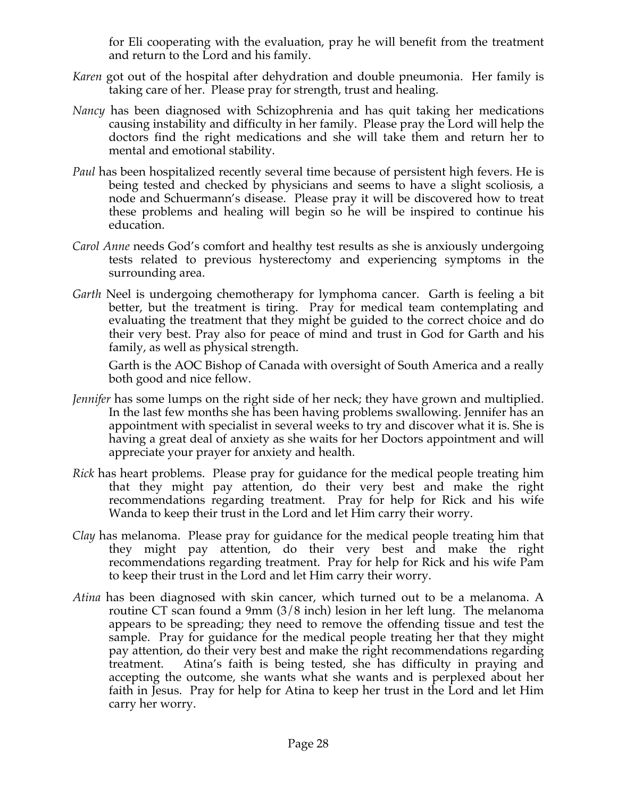for Eli cooperating with the evaluation, pray he will benefit from the treatment and return to the Lord and his family.

- *Karen* got out of the hospital after dehydration and double pneumonia. Her family is taking care of her. Please pray for strength, trust and healing.
- *Nancy* has been diagnosed with Schizophrenia and has quit taking her medications causing instability and difficulty in her family. Please pray the Lord will help the doctors find the right medications and she will take them and return her to mental and emotional stability.
- *Paul* has been hospitalized recently several time because of persistent high fevers. He is being tested and checked by physicians and seems to have a slight scoliosis, a node and Schuermann's disease. Please pray it will be discovered how to treat these problems and healing will begin so he will be inspired to continue his education.
- *Carol Anne* needs God's comfort and healthy test results as she is anxiously undergoing tests related to previous hysterectomy and experiencing symptoms in the surrounding area.
- *Garth* Neel is undergoing chemotherapy for lymphoma cancer. Garth is feeling a bit better, but the treatment is tiring. Pray for medical team contemplating and evaluating the treatment that they might be guided to the correct choice and do their very best. Pray also for peace of mind and trust in God for Garth and his family, as well as physical strength.

Garth is the AOC Bishop of Canada with oversight of South America and a really both good and nice fellow.

- *Jennifer* has some lumps on the right side of her neck; they have grown and multiplied. In the last few months she has been having problems swallowing. Jennifer has an appointment with specialist in several weeks to try and discover what it is. She is having a great deal of anxiety as she waits for her Doctors appointment and will appreciate your prayer for anxiety and health.
- *Rick* has heart problems. Please pray for guidance for the medical people treating him that they might pay attention, do their very best and make the right recommendations regarding treatment. Pray for help for Rick and his wife Wanda to keep their trust in the Lord and let Him carry their worry.
- *Clay* has melanoma. Please pray for guidance for the medical people treating him that they might pay attention, do their very best and make the right recommendations regarding treatment. Pray for help for Rick and his wife Pam to keep their trust in the Lord and let Him carry their worry.
- *Atina* has been diagnosed with skin cancer, which turned out to be a melanoma. A routine CT scan found a 9mm (3/8 inch) lesion in her left lung. The melanoma appears to be spreading; they need to remove the offending tissue and test the sample. Pray for guidance for the medical people treating her that they might pay attention, do their very best and make the right recommendations regarding treatment. Atina's faith is being tested, she has difficulty in praying and accepting the outcome, she wants what she wants and is perplexed about her faith in Jesus. Pray for help for Atina to keep her trust in the Lord and let Him carry her worry.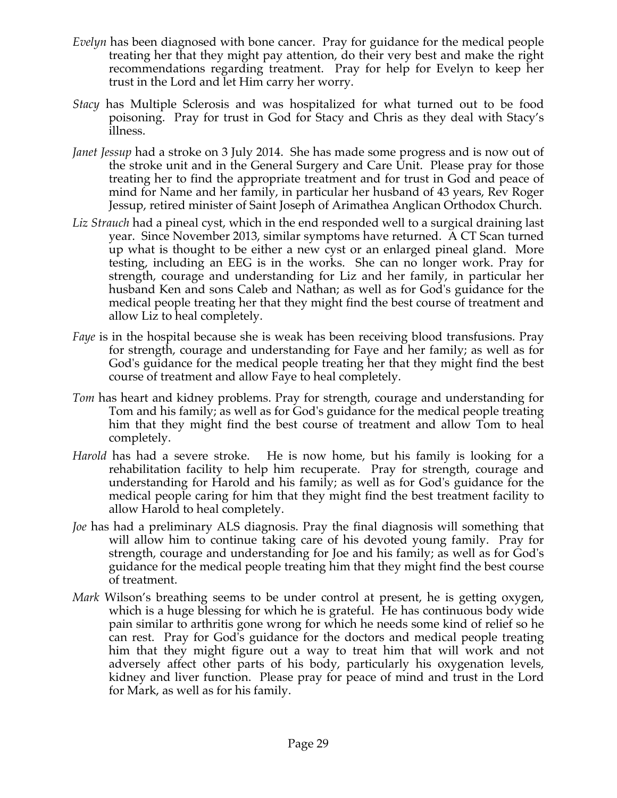- *Evelyn* has been diagnosed with bone cancer. Pray for guidance for the medical people treating her that they might pay attention, do their very best and make the right recommendations regarding treatment. Pray for help for Evelyn to keep her trust in the Lord and let Him carry her worry.
- *Stacy* has Multiple Sclerosis and was hospitalized for what turned out to be food poisoning. Pray for trust in God for Stacy and Chris as they deal with Stacy's illness.
- *Janet Jessup* had a stroke on 3 July 2014. She has made some progress and is now out of the stroke unit and in the General Surgery and Care Unit. Please pray for those treating her to find the appropriate treatment and for trust in God and peace of mind for Name and her family, in particular her husband of 43 years, Rev Roger Jessup, retired minister of Saint Joseph of Arimathea Anglican Orthodox Church.
- *Liz Strauch* had a pineal cyst, which in the end responded well to a surgical draining last year. Since November 2013, similar symptoms have returned. A CT Scan turned up what is thought to be either a new cyst or an enlarged pineal gland. More testing, including an EEG is in the works. She can no longer work. Pray for strength, courage and understanding for Liz and her family, in particular her husband Ken and sons Caleb and Nathan; as well as for God's guidance for the medical people treating her that they might find the best course of treatment and allow Liz to heal completely.
- *Faye* is in the hospital because she is weak has been receiving blood transfusions. Pray for strength, courage and understanding for Faye and her family; as well as for God's guidance for the medical people treating her that they might find the best course of treatment and allow Faye to heal completely.
- *Tom* has heart and kidney problems. Pray for strength, courage and understanding for Tom and his family; as well as for God's guidance for the medical people treating him that they might find the best course of treatment and allow Tom to heal completely.
- *Harold* has had a severe stroke. He is now home, but his family is looking for a rehabilitation facility to help him recuperate. Pray for strength, courage and understanding for Harold and his family; as well as for God's guidance for the medical people caring for him that they might find the best treatment facility to allow Harold to heal completely.
- *Joe* has had a preliminary ALS diagnosis. Pray the final diagnosis will something that will allow him to continue taking care of his devoted young family. Pray for strength, courage and understanding for Joe and his family; as well as for God's guidance for the medical people treating him that they might find the best course of treatment.
- *Mark* Wilson's breathing seems to be under control at present, he is getting oxygen, which is a huge blessing for which he is grateful. He has continuous body wide pain similar to arthritis gone wrong for which he needs some kind of relief so he can rest. Pray for God's guidance for the doctors and medical people treating him that they might figure out a way to treat him that will work and not adversely affect other parts of his body, particularly his oxygenation levels, kidney and liver function. Please pray for peace of mind and trust in the Lord for Mark, as well as for his family.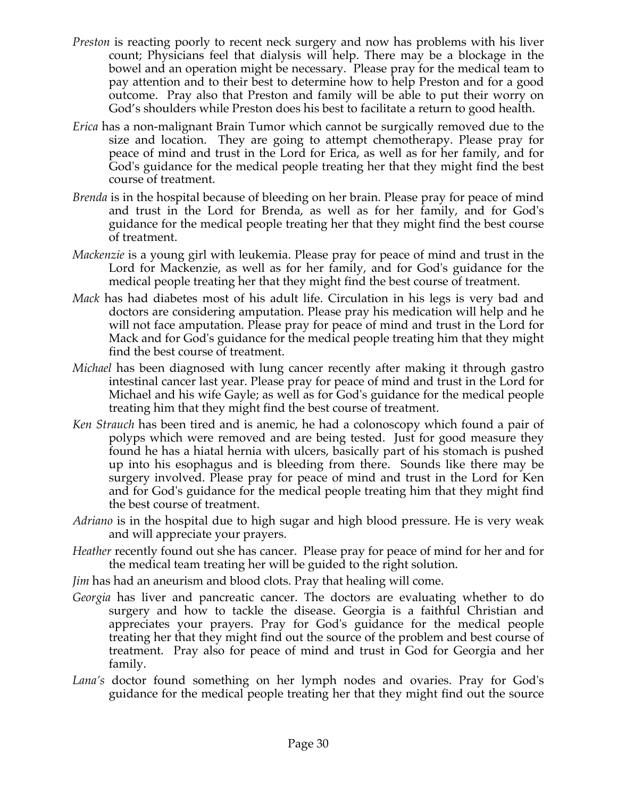- *Preston* is reacting poorly to recent neck surgery and now has problems with his liver count; Physicians feel that dialysis will help. There may be a blockage in the bowel and an operation might be necessary. Please pray for the medical team to pay attention and to their best to determine how to help Preston and for a good outcome. Pray also that Preston and family will be able to put their worry on God's shoulders while Preston does his best to facilitate a return to good health.
- *Erica* has a non-malignant Brain Tumor which cannot be surgically removed due to the size and location. They are going to attempt chemotherapy. Please pray for peace of mind and trust in the Lord for Erica, as well as for her family, and for God's guidance for the medical people treating her that they might find the best course of treatment.
- *Brenda* is in the hospital because of bleeding on her brain. Please pray for peace of mind and trust in the Lord for Brenda, as well as for her family, and for God's guidance for the medical people treating her that they might find the best course of treatment.
- *Mackenzie* is a young girl with leukemia. Please pray for peace of mind and trust in the Lord for Mackenzie, as well as for her family, and for God's guidance for the medical people treating her that they might find the best course of treatment.
- *Mack* has had diabetes most of his adult life. Circulation in his legs is very bad and doctors are considering amputation. Please pray his medication will help and he will not face amputation. Please pray for peace of mind and trust in the Lord for Mack and for God's guidance for the medical people treating him that they might find the best course of treatment.
- *Michael* has been diagnosed with lung cancer recently after making it through gastro intestinal cancer last year. Please pray for peace of mind and trust in the Lord for Michael and his wife Gayle; as well as for God's guidance for the medical people treating him that they might find the best course of treatment.
- *Ken Strauch* has been tired and is anemic, he had a colonoscopy which found a pair of polyps which were removed and are being tested. Just for good measure they found he has a hiatal hernia with ulcers, basically part of his stomach is pushed up into his esophagus and is bleeding from there. Sounds like there may be surgery involved. Please pray for peace of mind and trust in the Lord for Ken and for God's guidance for the medical people treating him that they might find the best course of treatment.
- *Adriano* is in the hospital due to high sugar and high blood pressure. He is very weak and will appreciate your prayers.
- *Heather* recently found out she has cancer. Please pray for peace of mind for her and for the medical team treating her will be guided to the right solution.
- *Jim* has had an aneurism and blood clots. Pray that healing will come.
- *Georgia* has liver and pancreatic cancer. The doctors are evaluating whether to do surgery and how to tackle the disease. Georgia is a faithful Christian and appreciates your prayers. Pray for God's guidance for the medical people treating her that they might find out the source of the problem and best course of treatment. Pray also for peace of mind and trust in God for Georgia and her family.
- *Lana's* doctor found something on her lymph nodes and ovaries. Pray for God's guidance for the medical people treating her that they might find out the source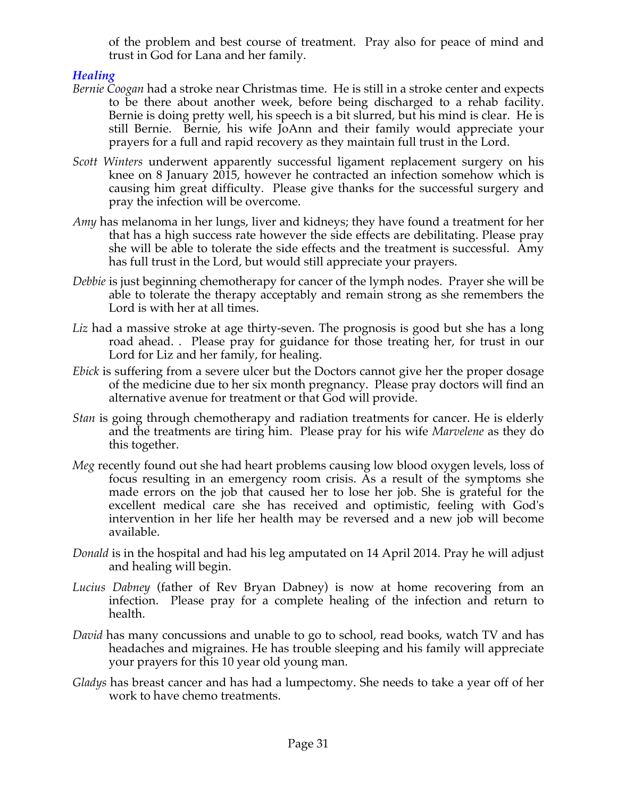of the problem and best course of treatment. Pray also for peace of mind and trust in God for Lana and her family.

## *Healing*

- *Bernie Coogan* had a stroke near Christmas time. He is still in a stroke center and expects to be there about another week, before being discharged to a rehab facility. Bernie is doing pretty well, his speech is a bit slurred, but his mind is clear. He is still Bernie. Bernie, his wife JoAnn and their family would appreciate your prayers for a full and rapid recovery as they maintain full trust in the Lord.
- *Scott Winters* underwent apparently successful ligament replacement surgery on his knee on 8 January 2015, however he contracted an infection somehow which is causing him great difficulty. Please give thanks for the successful surgery and pray the infection will be overcome.
- *Amy* has melanoma in her lungs, liver and kidneys; they have found a treatment for her that has a high success rate however the side effects are debilitating. Please pray she will be able to tolerate the side effects and the treatment is successful. Amy has full trust in the Lord, but would still appreciate your prayers.
- *Debbie* is just beginning chemotherapy for cancer of the lymph nodes. Prayer she will be able to tolerate the therapy acceptably and remain strong as she remembers the Lord is with her at all times.
- *Liz* had a massive stroke at age thirty-seven. The prognosis is good but she has a long road ahead. . Please pray for guidance for those treating her, for trust in our Lord for Liz and her family, for healing.
- *Ebick* is suffering from a severe ulcer but the Doctors cannot give her the proper dosage of the medicine due to her six month pregnancy. Please pray doctors will find an alternative avenue for treatment or that God will provide.
- *Stan* is going through chemotherapy and radiation treatments for cancer. He is elderly and the treatments are tiring him. Please pray for his wife *Marvelene* as they do this together.
- *Meg* recently found out she had heart problems causing low blood oxygen levels, loss of focus resulting in an emergency room crisis. As a result of the symptoms she made errors on the job that caused her to lose her job. She is grateful for the excellent medical care she has received and optimistic, feeling with God's intervention in her life her health may be reversed and a new job will become available.
- *Donald* is in the hospital and had his leg amputated on 14 April 2014. Pray he will adjust and healing will begin.
- *Lucius Dabney* (father of Rev Bryan Dabney) is now at home recovering from an infection. Please pray for a complete healing of the infection and return to health.
- *David* has many concussions and unable to go to school, read books, watch TV and has headaches and migraines. He has trouble sleeping and his family will appreciate your prayers for this 10 year old young man.
- *Gladys* has breast cancer and has had a lumpectomy. She needs to take a year off of her work to have chemo treatments.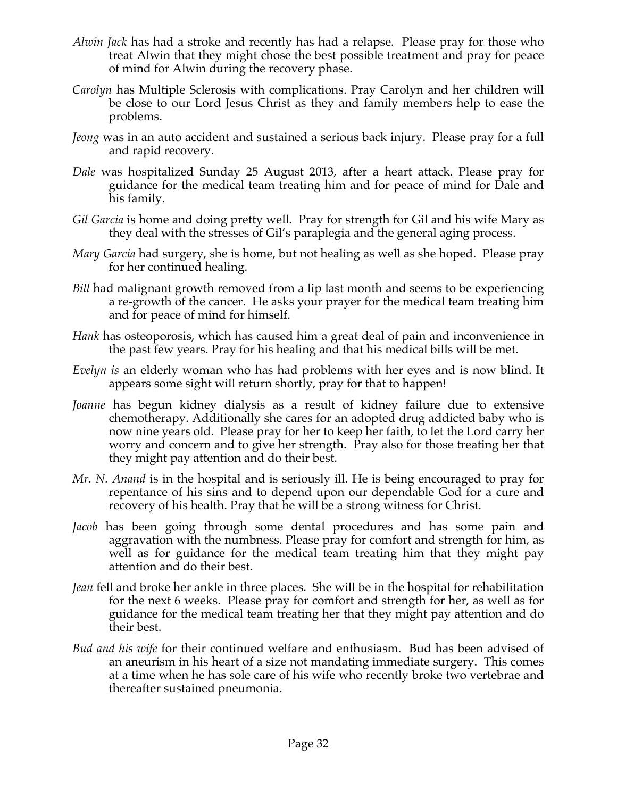- *Alwin Jack* has had a stroke and recently has had a relapse. Please pray for those who treat Alwin that they might chose the best possible treatment and pray for peace of mind for Alwin during the recovery phase.
- *Carolyn* has Multiple Sclerosis with complications. Pray Carolyn and her children will be close to our Lord Jesus Christ as they and family members help to ease the problems.
- *Jeong* was in an auto accident and sustained a serious back injury. Please pray for a full and rapid recovery.
- *Dale* was hospitalized Sunday 25 August 2013, after a heart attack. Please pray for guidance for the medical team treating him and for peace of mind for Dale and his family.
- *Gil Garcia* is home and doing pretty well. Pray for strength for Gil and his wife Mary as they deal with the stresses of Gil's paraplegia and the general aging process.
- *Mary Garcia* had surgery, she is home, but not healing as well as she hoped. Please pray for her continued healing.
- *Bill* had malignant growth removed from a lip last month and seems to be experiencing a re-growth of the cancer. He asks your prayer for the medical team treating him and for peace of mind for himself.
- *Hank* has osteoporosis, which has caused him a great deal of pain and inconvenience in the past few years. Pray for his healing and that his medical bills will be met.
- *Evelyn is* an elderly woman who has had problems with her eyes and is now blind. It appears some sight will return shortly, pray for that to happen!
- *Joanne* has begun kidney dialysis as a result of kidney failure due to extensive chemotherapy. Additionally she cares for an adopted drug addicted baby who is now nine years old. Please pray for her to keep her faith, to let the Lord carry her worry and concern and to give her strength. Pray also for those treating her that they might pay attention and do their best.
- *Mr. N. Anand* is in the hospital and is seriously ill. He is being encouraged to pray for repentance of his sins and to depend upon our dependable God for a cure and recovery of his health. Pray that he will be a strong witness for Christ.
- *Jacob* has been going through some dental procedures and has some pain and aggravation with the numbness. Please pray for comfort and strength for him, as well as for guidance for the medical team treating him that they might pay attention and do their best.
- *Jean* fell and broke her ankle in three places. She will be in the hospital for rehabilitation for the next 6 weeks. Please pray for comfort and strength for her, as well as for guidance for the medical team treating her that they might pay attention and do their best.
- *Bud and his wife* for their continued welfare and enthusiasm. Bud has been advised of an aneurism in his heart of a size not mandating immediate surgery. This comes at a time when he has sole care of his wife who recently broke two vertebrae and thereafter sustained pneumonia.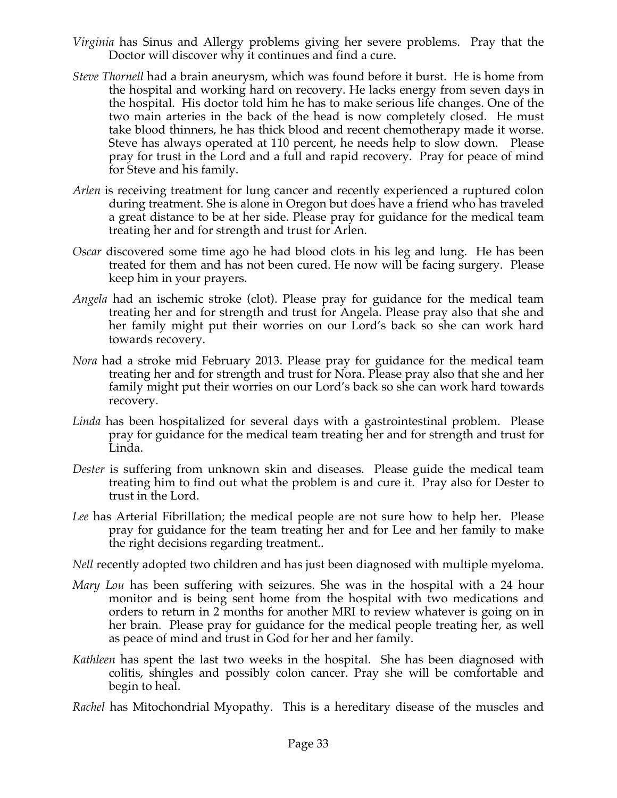- *Virginia* has Sinus and Allergy problems giving her severe problems. Pray that the Doctor will discover why it continues and find a cure.
- *Steve Thornell* had a brain aneurysm, which was found before it burst. He is home from the hospital and working hard on recovery. He lacks energy from seven days in the hospital. His doctor told him he has to make serious life changes. One of the two main arteries in the back of the head is now completely closed. He must take blood thinners, he has thick blood and recent chemotherapy made it worse. Steve has always operated at 110 percent, he needs help to slow down. Please pray for trust in the Lord and a full and rapid recovery. Pray for peace of mind for Steve and his family.
- *Arlen* is receiving treatment for lung cancer and recently experienced a ruptured colon during treatment. She is alone in Oregon but does have a friend who has traveled a great distance to be at her side. Please pray for guidance for the medical team treating her and for strength and trust for Arlen.
- *Oscar* discovered some time ago he had blood clots in his leg and lung. He has been treated for them and has not been cured. He now will be facing surgery. Please keep him in your prayers.
- *Angela* had an ischemic stroke (clot). Please pray for guidance for the medical team treating her and for strength and trust for Angela. Please pray also that she and her family might put their worries on our Lord's back so she can work hard towards recovery.
- *Nora* had a stroke mid February 2013. Please pray for guidance for the medical team treating her and for strength and trust for Nora. Please pray also that she and her family might put their worries on our Lord's back so she can work hard towards recovery.
- *Linda* has been hospitalized for several days with a gastrointestinal problem. Please pray for guidance for the medical team treating her and for strength and trust for Linda.
- *Dester* is suffering from unknown skin and diseases. Please guide the medical team treating him to find out what the problem is and cure it. Pray also for Dester to trust in the Lord.
- *Lee* has Arterial Fibrillation; the medical people are not sure how to help her. Please pray for guidance for the team treating her and for Lee and her family to make the right decisions regarding treatment..

*Nell* recently adopted two children and has just been diagnosed with multiple myeloma.

- *Mary Lou* has been suffering with seizures. She was in the hospital with a 24 hour monitor and is being sent home from the hospital with two medications and orders to return in 2 months for another MRI to review whatever is going on in her brain. Please pray for guidance for the medical people treating her, as well as peace of mind and trust in God for her and her family.
- *Kathleen* has spent the last two weeks in the hospital. She has been diagnosed with colitis, shingles and possibly colon cancer. Pray she will be comfortable and begin to heal.

*Rachel* has Mitochondrial Myopathy. This is a hereditary disease of the muscles and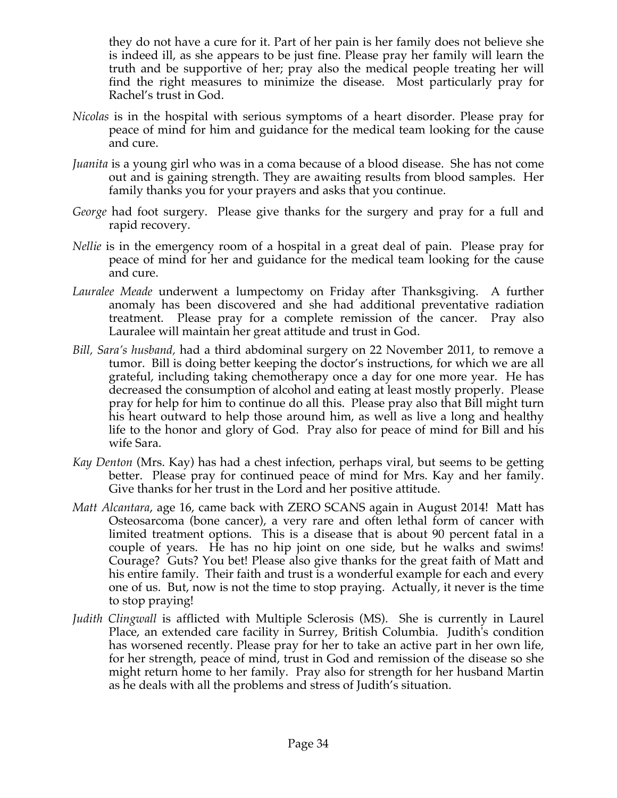they do not have a cure for it. Part of her pain is her family does not believe she is indeed ill, as she appears to be just fine. Please pray her family will learn the truth and be supportive of her; pray also the medical people treating her will find the right measures to minimize the disease. Most particularly pray for Rachel's trust in God.

- *Nicolas* is in the hospital with serious symptoms of a heart disorder. Please pray for peace of mind for him and guidance for the medical team looking for the cause and cure.
- *Juanita* is a young girl who was in a coma because of a blood disease. She has not come out and is gaining strength. They are awaiting results from blood samples. Her family thanks you for your prayers and asks that you continue.
- *George* had foot surgery. Please give thanks for the surgery and pray for a full and rapid recovery.
- *Nellie* is in the emergency room of a hospital in a great deal of pain. Please pray for peace of mind for her and guidance for the medical team looking for the cause and cure.
- *Lauralee Meade* underwent a lumpectomy on Friday after Thanksgiving. A further anomaly has been discovered and she had additional preventative radiation treatment. Please pray for a complete remission of the cancer. Pray also Lauralee will maintain her great attitude and trust in God.
- *Bill, Sara's husband,* had a third abdominal surgery on 22 November 2011, to remove a tumor. Bill is doing better keeping the doctor's instructions, for which we are all grateful, including taking chemotherapy once a day for one more year. He has decreased the consumption of alcohol and eating at least mostly properly. Please pray for help for him to continue do all this. Please pray also that Bill might turn his heart outward to help those around him, as well as live a long and healthy life to the honor and glory of God. Pray also for peace of mind for Bill and his wife Sara.
- *Kay Denton* (Mrs. Kay) has had a chest infection, perhaps viral, but seems to be getting better. Please pray for continued peace of mind for Mrs. Kay and her family. Give thanks for her trust in the Lord and her positive attitude.
- *Matt Alcantara*, age 16, came back with ZERO SCANS again in August 2014! Matt has Osteosarcoma (bone cancer), a very rare and often lethal form of cancer with limited treatment options. This is a disease that is about 90 percent fatal in a couple of years. He has no hip joint on one side, but he walks and swims! Courage? Guts? You bet! Please also give thanks for the great faith of Matt and his entire family. Their faith and trust is a wonderful example for each and every one of us. But, now is not the time to stop praying. Actually, it never is the time to stop praying!
- *Judith Clingwall* is afflicted with Multiple Sclerosis (MS). She is currently in Laurel Place, an extended care facility in Surrey, British Columbia. Judith's condition has worsened recently. Please pray for her to take an active part in her own life, for her strength, peace of mind, trust in God and remission of the disease so she might return home to her family. Pray also for strength for her husband Martin as he deals with all the problems and stress of Judith's situation.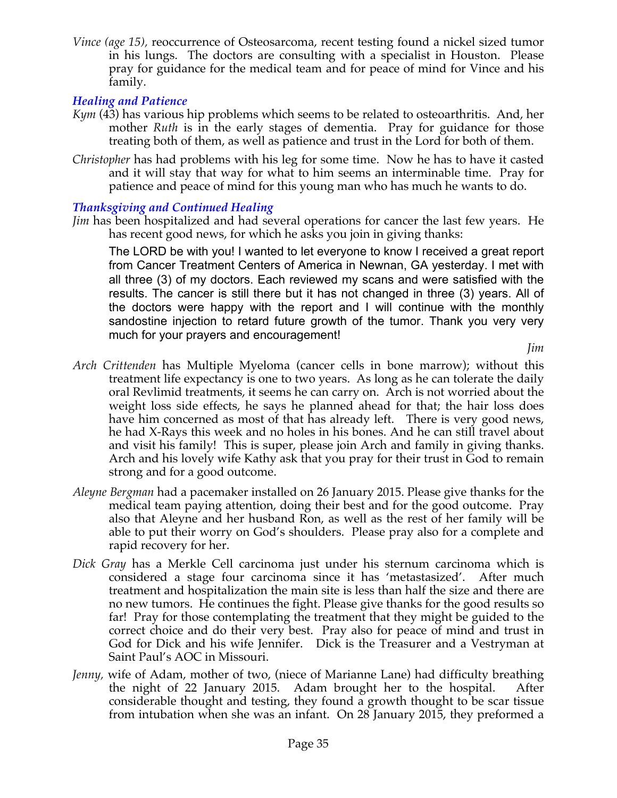*Vince (age 15),* reoccurrence of Osteosarcoma, recent testing found a nickel sized tumor in his lungs. The doctors are consulting with a specialist in Houston. Please pray for guidance for the medical team and for peace of mind for Vince and his family.

## *Healing and Patience*

- *Kym* (43) has various hip problems which seems to be related to osteoarthritis. And, her mother *Ruth* is in the early stages of dementia. Pray for guidance for those treating both of them, as well as patience and trust in the Lord for both of them.
- *Christopher* has had problems with his leg for some time. Now he has to have it casted and it will stay that way for what to him seems an interminable time. Pray for patience and peace of mind for this young man who has much he wants to do.

## *Thanksgiving and Continued Healing*

*Jim* has been hospitalized and had several operations for cancer the last few years. He has recent good news, for which he asks you join in giving thanks:

The LORD be with you! I wanted to let everyone to know I received a great report from Cancer Treatment Centers of America in Newnan, GA yesterday. I met with all three (3) of my doctors. Each reviewed my scans and were satisfied with the results. The cancer is still there but it has not changed in three (3) years. All of the doctors were happy with the report and I will continue with the monthly sandostine injection to retard future growth of the tumor. Thank you very very much for your prayers and encouragement!

*Jim*

- *Arch Crittenden* has Multiple Myeloma (cancer cells in bone marrow); without this treatment life expectancy is one to two years. As long as he can tolerate the daily oral Revlimid treatments, it seems he can carry on. Arch is not worried about the weight loss side effects, he says he planned ahead for that; the hair loss does have him concerned as most of that has already left. There is very good news, he had X-Rays this week and no holes in his bones. And he can still travel about and visit his family! This is super, please join Arch and family in giving thanks. Arch and his lovely wife Kathy ask that you pray for their trust in God to remain strong and for a good outcome.
- *Aleyne Bergman* had a pacemaker installed on 26 January 2015. Please give thanks for the medical team paying attention, doing their best and for the good outcome. Pray also that Aleyne and her husband Ron, as well as the rest of her family will be able to put their worry on God's shoulders. Please pray also for a complete and rapid recovery for her.
- *Dick Gray* has a Merkle Cell carcinoma just under his sternum carcinoma which is considered a stage four carcinoma since it has 'metastasized'. After much treatment and hospitalization the main site is less than half the size and there are no new tumors. He continues the fight. Please give thanks for the good results so far! Pray for those contemplating the treatment that they might be guided to the correct choice and do their very best. Pray also for peace of mind and trust in God for Dick and his wife Jennifer. Dick is the Treasurer and a Vestryman at Saint Paul's AOC in Missouri.
- *Jenny,* wife of Adam, mother of two, (niece of Marianne Lane) had difficulty breathing the night of 22 January 2015. Adam brought her to the hospital. After considerable thought and testing, they found a growth thought to be scar tissue from intubation when she was an infant. On 28 January 2015, they preformed a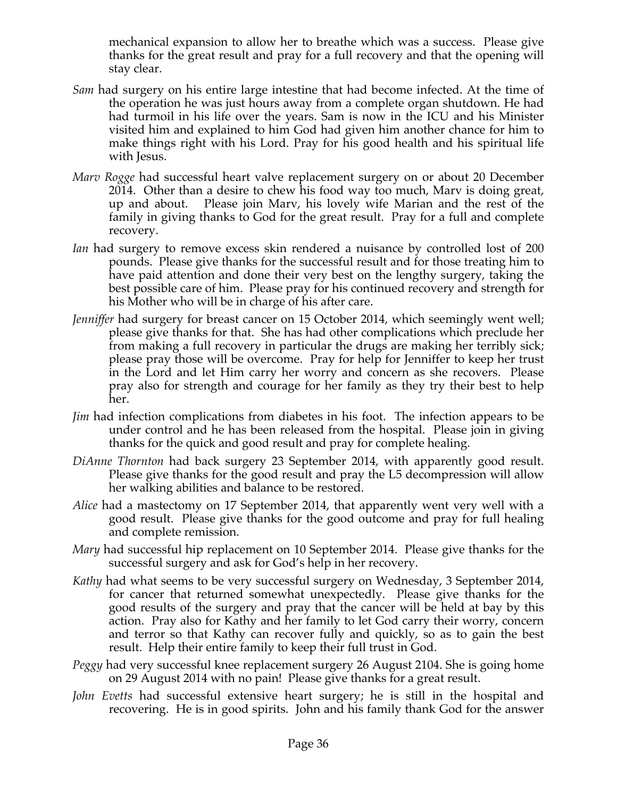mechanical expansion to allow her to breathe which was a success. Please give thanks for the great result and pray for a full recovery and that the opening will stay clear.

- *Sam* had surgery on his entire large intestine that had become infected. At the time of the operation he was just hours away from a complete organ shutdown. He had had turmoil in his life over the years. Sam is now in the ICU and his Minister visited him and explained to him God had given him another chance for him to make things right with his Lord. Pray for his good health and his spiritual life with Jesus.
- *Marv Rogge* had successful heart valve replacement surgery on or about 20 December 2014. Other than a desire to chew his food way too much, Marv is doing great, up and about. Please join Marv, his lovely wife Marian and the rest of the family in giving thanks to God for the great result. Pray for a full and complete recovery.
- *Ian* had surgery to remove excess skin rendered a nuisance by controlled lost of 200 pounds. Please give thanks for the successful result and for those treating him to have paid attention and done their very best on the lengthy surgery, taking the best possible care of him. Please pray for his continued recovery and strength for his Mother who will be in charge of his after care.
- *Jenniffer* had surgery for breast cancer on 15 October 2014, which seemingly went well; please give thanks for that. She has had other complications which preclude her from making a full recovery in particular the drugs are making her terribly sick; please pray those will be overcome. Pray for help for Jenniffer to keep her trust in the Lord and let Him carry her worry and concern as she recovers. Please pray also for strength and courage for her family as they try their best to help her.
- *Jim* had infection complications from diabetes in his foot. The infection appears to be under control and he has been released from the hospital. Please join in giving thanks for the quick and good result and pray for complete healing.
- *DiAnne Thornton* had back surgery 23 September 2014, with apparently good result. Please give thanks for the good result and pray the L5 decompression will allow her walking abilities and balance to be restored.
- *Alice* had a mastectomy on 17 September 2014, that apparently went very well with a good result. Please give thanks for the good outcome and pray for full healing and complete remission.
- *Mary* had successful hip replacement on 10 September 2014. Please give thanks for the successful surgery and ask for God's help in her recovery.
- *Kathy* had what seems to be very successful surgery on Wednesday, 3 September 2014, for cancer that returned somewhat unexpectedly. Please give thanks for the good results of the surgery and pray that the cancer will be held at bay by this action. Pray also for Kathy and her family to let God carry their worry, concern and terror so that Kathy can recover fully and quickly, so as to gain the best result. Help their entire family to keep their full trust in God.
- *Peggy* had very successful knee replacement surgery 26 August 2104. She is going home on 29 August 2014 with no pain! Please give thanks for a great result.
- *John Evetts* had successful extensive heart surgery; he is still in the hospital and recovering. He is in good spirits. John and his family thank God for the answer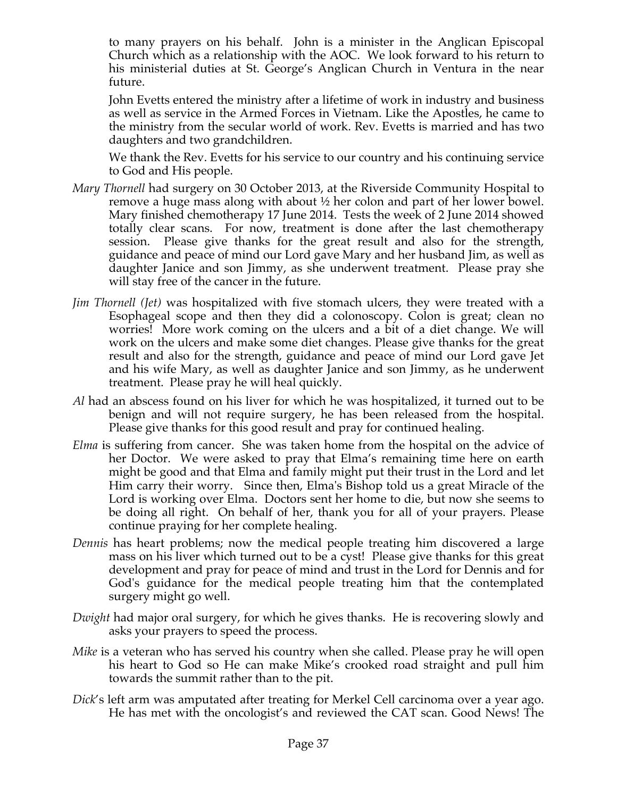to many prayers on his behalf. John is a minister in the Anglican Episcopal Church which as a relationship with the AOC. We look forward to his return to his ministerial duties at St. George's Anglican Church in Ventura in the near future.

John Evetts entered the ministry after a lifetime of work in industry and business as well as service in the Armed Forces in Vietnam. Like the Apostles, he came to the ministry from the secular world of work. Rev. Evetts is married and has two daughters and two grandchildren.

We thank the Rev. Evetts for his service to our country and his continuing service to God and His people.

- *Mary Thornell* had surgery on 30 October 2013, at the Riverside Community Hospital to remove a huge mass along with about ½ her colon and part of her lower bowel. Mary finished chemotherapy 17 June 2014. Tests the week of 2 June 2014 showed totally clear scans. For now, treatment is done after the last chemotherapy session. Please give thanks for the great result and also for the strength, guidance and peace of mind our Lord gave Mary and her husband Jim, as well as daughter Janice and son Jimmy, as she underwent treatment. Please pray she will stay free of the cancer in the future.
- *Jim Thornell (Jet)* was hospitalized with five stomach ulcers, they were treated with a Esophageal scope and then they did a colonoscopy. Colon is great; clean no worries! More work coming on the ulcers and a bit of a diet change. We will work on the ulcers and make some diet changes. Please give thanks for the great result and also for the strength, guidance and peace of mind our Lord gave Jet and his wife Mary, as well as daughter Janice and son Jimmy, as he underwent treatment. Please pray he will heal quickly.
- *Al* had an abscess found on his liver for which he was hospitalized, it turned out to be benign and will not require surgery, he has been released from the hospital. Please give thanks for this good result and pray for continued healing.
- *Elma* is suffering from cancer. She was taken home from the hospital on the advice of her Doctor. We were asked to pray that Elma's remaining time here on earth might be good and that Elma and family might put their trust in the Lord and let Him carry their worry. Since then, Elma's Bishop told us a great Miracle of the Lord is working over Elma. Doctors sent her home to die, but now she seems to be doing all right. On behalf of her, thank you for all of your prayers. Please continue praying for her complete healing.
- *Dennis* has heart problems; now the medical people treating him discovered a large mass on his liver which turned out to be a cyst! Please give thanks for this great development and pray for peace of mind and trust in the Lord for Dennis and for God's guidance for the medical people treating him that the contemplated surgery might go well.
- *Dwight* had major oral surgery, for which he gives thanks. He is recovering slowly and asks your prayers to speed the process.
- *Mike* is a veteran who has served his country when she called. Please pray he will open his heart to God so He can make Mike's crooked road straight and pull him towards the summit rather than to the pit.
- *Dick*'s left arm was amputated after treating for Merkel Cell carcinoma over a year ago. He has met with the oncologist's and reviewed the CAT scan. Good News! The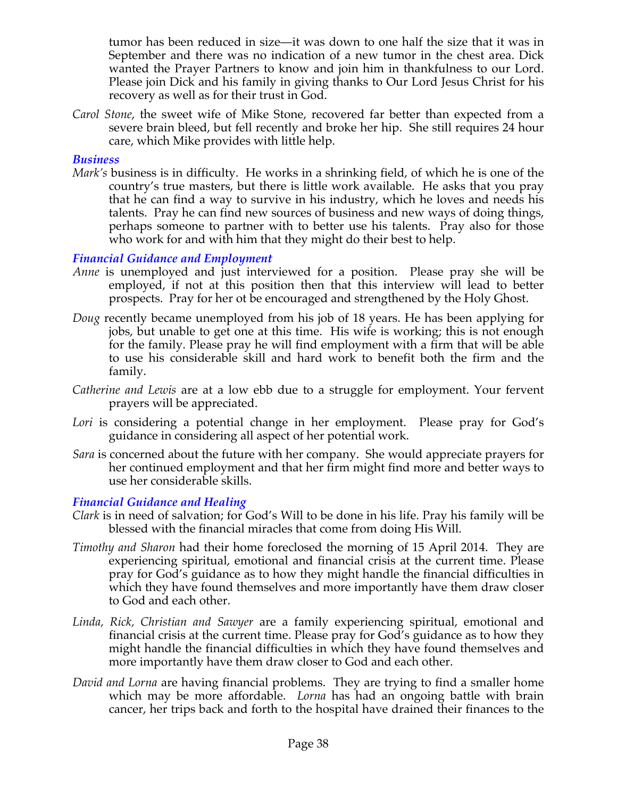tumor has been reduced in size—it was down to one half the size that it was in September and there was no indication of a new tumor in the chest area. Dick wanted the Prayer Partners to know and join him in thankfulness to our Lord. Please join Dick and his family in giving thanks to Our Lord Jesus Christ for his recovery as well as for their trust in God.

*Carol Stone*, the sweet wife of Mike Stone, recovered far better than expected from a severe brain bleed, but fell recently and broke her hip. She still requires 24 hour care, which Mike provides with little help.

*Business*

*Mark's* business is in difficulty. He works in a shrinking field, of which he is one of the country's true masters, but there is little work available. He asks that you pray that he can find a way to survive in his industry, which he loves and needs his talents. Pray he can find new sources of business and new ways of doing things, perhaps someone to partner with to better use his talents. Pray also for those who work for and with him that they might do their best to help.

## *Financial Guidance and Employment*

- *Anne* is unemployed and just interviewed for a position. Please pray she will be employed, if not at this position then that this interview will lead to better prospects. Pray for her ot be encouraged and strengthened by the Holy Ghost.
- *Doug* recently became unemployed from his job of 18 years. He has been applying for jobs, but unable to get one at this time. His wife is working; this is not enough for the family. Please pray he will find employment with a firm that will be able to use his considerable skill and hard work to benefit both the firm and the family.
- *Catherine and Lewis* are at a low ebb due to a struggle for employment. Your fervent prayers will be appreciated.
- Lori is considering a potential change in her employment. Please pray for God's guidance in considering all aspect of her potential work.
- *Sara* is concerned about the future with her company. She would appreciate prayers for her continued employment and that her firm might find more and better ways to use her considerable skills.

## *Financial Guidance and Healing*

- *Clark* is in need of salvation; for God's Will to be done in his life. Pray his family will be blessed with the financial miracles that come from doing His Will.
- *Timothy and Sharon* had their home foreclosed the morning of 15 April 2014. They are experiencing spiritual, emotional and financial crisis at the current time. Please pray for God's guidance as to how they might handle the financial difficulties in which they have found themselves and more importantly have them draw closer to God and each other.
- *Linda, Rick, Christian and Sawyer* are a family experiencing spiritual, emotional and financial crisis at the current time. Please pray for God's guidance as to how they might handle the financial difficulties in which they have found themselves and more importantly have them draw closer to God and each other.
- *David and Lorna* are having financial problems. They are trying to find a smaller home which may be more affordable. *Lorna* has had an ongoing battle with brain cancer, her trips back and forth to the hospital have drained their finances to the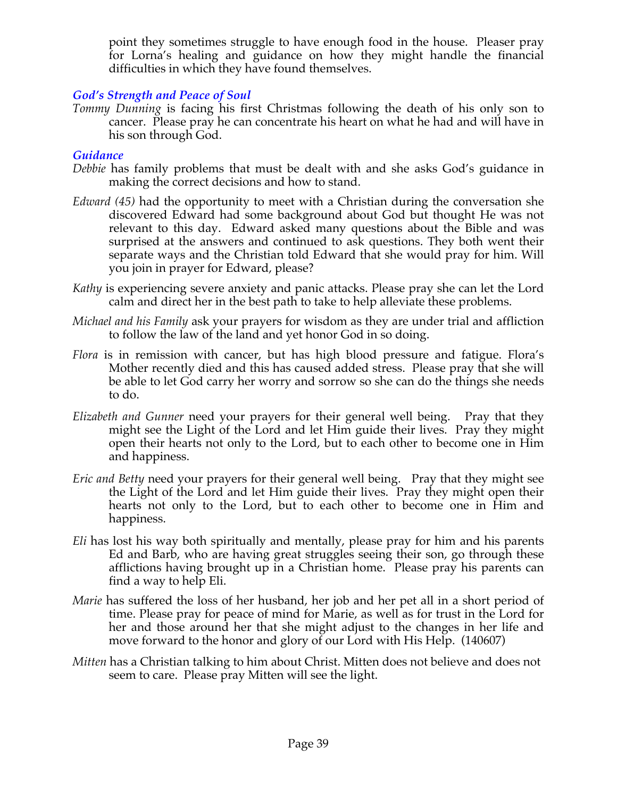point they sometimes struggle to have enough food in the house. Pleaser pray for Lorna's healing and guidance on how they might handle the financial difficulties in which they have found themselves.

## *God's Strength and Peace of Soul*

*Tommy Dunning* is facing his first Christmas following the death of his only son to cancer. Please pray he can concentrate his heart on what he had and will have in his son through God.

#### *Guidance*

- *Debbie* has family problems that must be dealt with and she asks God's guidance in making the correct decisions and how to stand.
- *Edward (45)* had the opportunity to meet with a Christian during the conversation she discovered Edward had some background about God but thought He was not relevant to this day. Edward asked many questions about the Bible and was surprised at the answers and continued to ask questions. They both went their separate ways and the Christian told Edward that she would pray for him. Will you join in prayer for Edward, please?
- *Kathy* is experiencing severe anxiety and panic attacks. Please pray she can let the Lord calm and direct her in the best path to take to help alleviate these problems.
- *Michael and his Family* ask your prayers for wisdom as they are under trial and affliction to follow the law of the land and yet honor God in so doing.
- *Flora* is in remission with cancer, but has high blood pressure and fatigue. Flora's Mother recently died and this has caused added stress. Please pray that she will be able to let God carry her worry and sorrow so she can do the things she needs to do.
- *Elizabeth and Gunner* need your prayers for their general well being. Pray that they might see the Light of the Lord and let Him guide their lives. Pray they might open their hearts not only to the Lord, but to each other to become one in Him and happiness.
- *Eric and Betty* need your prayers for their general well being. Pray that they might see the Light of the Lord and let Him guide their lives. Pray they might open their hearts not only to the Lord, but to each other to become one in Him and happiness.
- *Eli* has lost his way both spiritually and mentally, please pray for him and his parents Ed and Barb, who are having great struggles seeing their son, go through these afflictions having brought up in a Christian home. Please pray his parents can find a way to help Eli.
- *Marie* has suffered the loss of her husband, her job and her pet all in a short period of time. Please pray for peace of mind for Marie, as well as for trust in the Lord for her and those around her that she might adjust to the changes in her life and move forward to the honor and glory of our Lord with His Help. (140607)
- *Mitten* has a Christian talking to him about Christ. Mitten does not believe and does not seem to care. Please pray Mitten will see the light.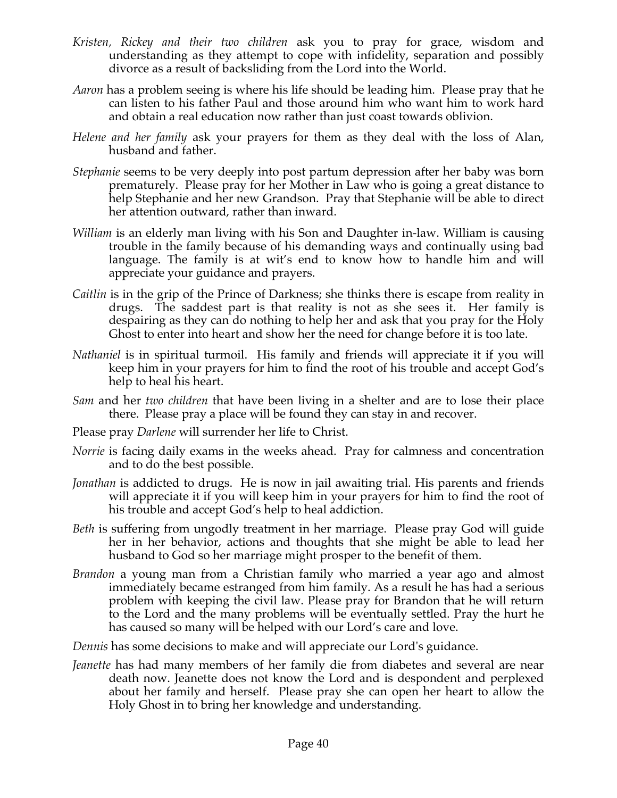- *Kristen, Rickey and their two children* ask you to pray for grace, wisdom and understanding as they attempt to cope with infidelity, separation and possibly divorce as a result of backsliding from the Lord into the World.
- *Aaron* has a problem seeing is where his life should be leading him. Please pray that he can listen to his father Paul and those around him who want him to work hard and obtain a real education now rather than just coast towards oblivion.
- *Helene and her family* ask your prayers for them as they deal with the loss of Alan, husband and father.
- *Stephanie* seems to be very deeply into post partum depression after her baby was born prematurely. Please pray for her Mother in Law who is going a great distance to help Stephanie and her new Grandson. Pray that Stephanie will be able to direct her attention outward, rather than inward.
- *William* is an elderly man living with his Son and Daughter in-law. William is causing trouble in the family because of his demanding ways and continually using bad language. The family is at wit's end to know how to handle him and will appreciate your guidance and prayers.
- *Caitlin* is in the grip of the Prince of Darkness; she thinks there is escape from reality in drugs. The saddest part is that reality is not as she sees it. Her family is despairing as they can do nothing to help her and ask that you pray for the Holy Ghost to enter into heart and show her the need for change before it is too late.
- *Nathaniel* is in spiritual turmoil. His family and friends will appreciate it if you will keep him in your prayers for him to find the root of his trouble and accept God's help to heal his heart.
- *Sam* and her *two children* that have been living in a shelter and are to lose their place there. Please pray a place will be found they can stay in and recover.
- Please pray *Darlene* will surrender her life to Christ.
- *Norrie* is facing daily exams in the weeks ahead. Pray for calmness and concentration and to do the best possible.
- *Jonathan* is addicted to drugs. He is now in jail awaiting trial. His parents and friends will appreciate it if you will keep him in your prayers for him to find the root of his trouble and accept God's help to heal addiction.
- *Beth* is suffering from ungodly treatment in her marriage. Please pray God will guide her in her behavior, actions and thoughts that she might be able to lead her husband to God so her marriage might prosper to the benefit of them.
- *Brandon* a young man from a Christian family who married a year ago and almost immediately became estranged from him family. As a result he has had a serious problem with keeping the civil law. Please pray for Brandon that he will return to the Lord and the many problems will be eventually settled. Pray the hurt he has caused so many will be helped with our Lord's care and love.

*Dennis* has some decisions to make and will appreciate our Lord's guidance.

*Jeanette* has had many members of her family die from diabetes and several are near death now. Jeanette does not know the Lord and is despondent and perplexed about her family and herself. Please pray she can open her heart to allow the Holy Ghost in to bring her knowledge and understanding.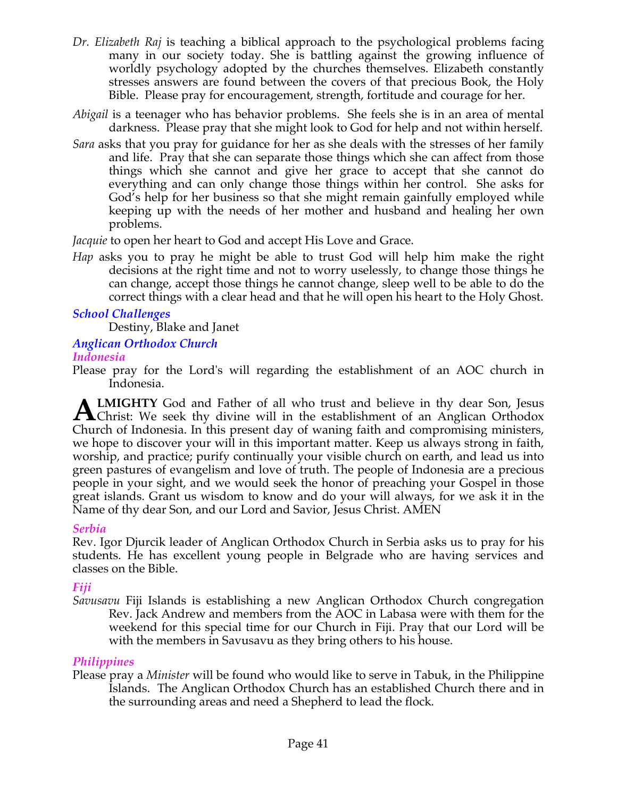- *Dr. Elizabeth Raj* is teaching a biblical approach to the psychological problems facing many in our society today. She is battling against the growing influence of worldly psychology adopted by the churches themselves. Elizabeth constantly stresses answers are found between the covers of that precious Book, the Holy Bible. Please pray for encouragement, strength, fortitude and courage for her.
- *Abigail* is a teenager who has behavior problems. She feels she is in an area of mental darkness. Please pray that she might look to God for help and not within herself.
- *Sara* asks that you pray for guidance for her as she deals with the stresses of her family and life. Pray that she can separate those things which she can affect from those things which she cannot and give her grace to accept that she cannot do everything and can only change those things within her control. She asks for God's help for her business so that she might remain gainfully employed while keeping up with the needs of her mother and husband and healing her own problems.

*Jacquie* to open her heart to God and accept His Love and Grace.

*Hap* asks you to pray he might be able to trust God will help him make the right decisions at the right time and not to worry uselessly, to change those things he can change, accept those things he cannot change, sleep well to be able to do the correct things with a clear head and that he will open his heart to the Holy Ghost.

## *School Challenges*

Destiny, Blake and Janet

#### *Anglican Orthodox Church Indonesia*

Please pray for the Lord's will regarding the establishment of an AOC church in Indonesia.

**LMIGHTY** God and Father of all who trust and believe in thy dear Son, Jesus **ALMIGHTY** God and Father of all who trust and believe in thy dear Son, Jesus Christ: We seek thy divine will in the establishment of an Anglican Orthodox Church of Indonesia. In this present day of waning faith and compromising ministers, we hope to discover your will in this important matter. Keep us always strong in faith, worship, and practice; purify continually your visible church on earth, and lead us into green pastures of evangelism and love of truth. The people of Indonesia are a precious people in your sight, and we would seek the honor of preaching your Gospel in those great islands. Grant us wisdom to know and do your will always, for we ask it in the Name of thy dear Son, and our Lord and Savior, Jesus Christ. AMEN

## *Serbia*

Rev. Igor Djurcik leader of Anglican Orthodox Church in Serbia asks us to pray for his students. He has excellent young people in Belgrade who are having services and classes on the Bible.

## *Fiji*

*Savusavu* Fiji Islands is establishing a new Anglican Orthodox Church congregation Rev. Jack Andrew and members from the AOC in Labasa were with them for the weekend for this special time for our Church in Fiji. Pray that our Lord will be with the members in Savusavu as they bring others to his house.

## *Philippines*

Please pray a *Minister* will be found who would like to serve in Tabuk, in the Philippine Islands. The Anglican Orthodox Church has an established Church there and in the surrounding areas and need a Shepherd to lead the flock*.*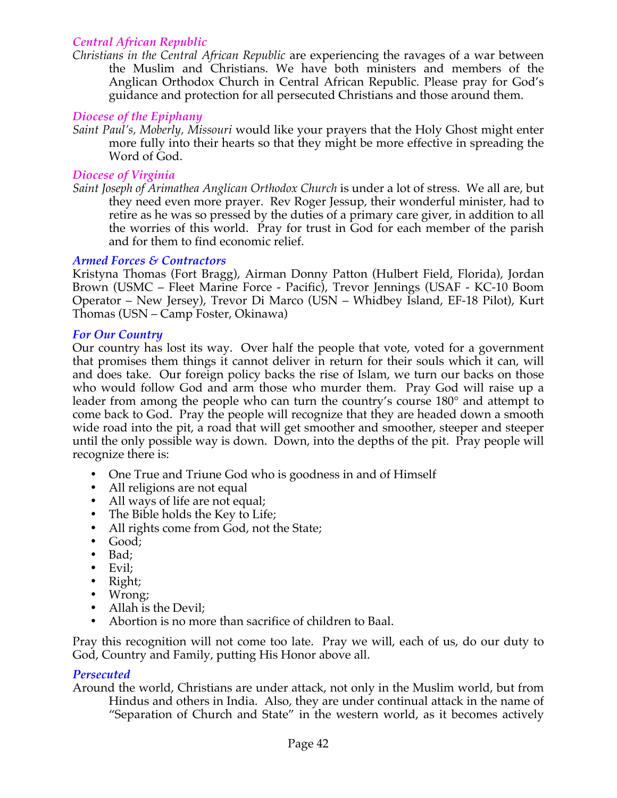## *Central African Republic*

*Christians in the Central African Republic* are experiencing the ravages of a war between the Muslim and Christians. We have both ministers and members of the Anglican Orthodox Church in Central African Republic. Please pray for God's guidance and protection for all persecuted Christians and those around them.

#### *Diocese of the Epiphany*

*Saint Paul's, Moberly, Missouri* would like your prayers that the Holy Ghost might enter more fully into their hearts so that they might be more effective in spreading the Word of God.

#### *Diocese of Virginia*

*Saint Joseph of Arimathea Anglican Orthodox Church* is under a lot of stress. We all are, but they need even more prayer. Rev Roger Jessup, their wonderful minister, had to retire as he was so pressed by the duties of a primary care giver, in addition to all the worries of this world. Pray for trust in God for each member of the parish and for them to find economic relief.

#### *Armed Forces & Contractors*

Kristyna Thomas (Fort Bragg), Airman Donny Patton (Hulbert Field, Florida), Jordan Brown (USMC – Fleet Marine Force - Pacific), Trevor Jennings (USAF - KC-10 Boom Operator – New Jersey), Trevor Di Marco (USN – Whidbey Island, EF-18 Pilot), Kurt Thomas (USN – Camp Foster, Okinawa)

#### *For Our Country*

Our country has lost its way. Over half the people that vote, voted for a government that promises them things it cannot deliver in return for their souls which it can, will and does take. Our foreign policy backs the rise of Islam, we turn our backs on those who would follow God and arm those who murder them. Pray God will raise up a leader from among the people who can turn the country's course 180° and attempt to come back to God. Pray the people will recognize that they are headed down a smooth wide road into the pit, a road that will get smoother and smoother, steeper and steeper until the only possible way is down. Down, into the depths of the pit. Pray people will recognize there is:

- One True and Triune God who is goodness in and of Himself
- All religions are not equal
- All ways of life are not equal;
- The Bible holds the Key to Life;
- All rights come from God, not the State;
- Good;
- Bad;
- Evil;
- Right;
- Wrong;
- Allah is the Devil;
- Abortion is no more than sacrifice of children to Baal.

Pray this recognition will not come too late. Pray we will, each of us, do our duty to God, Country and Family, putting His Honor above all.

#### *Persecuted*

Around the world, Christians are under attack, not only in the Muslim world, but from Hindus and others in India. Also, they are under continual attack in the name of "Separation of Church and State" in the western world, as it becomes actively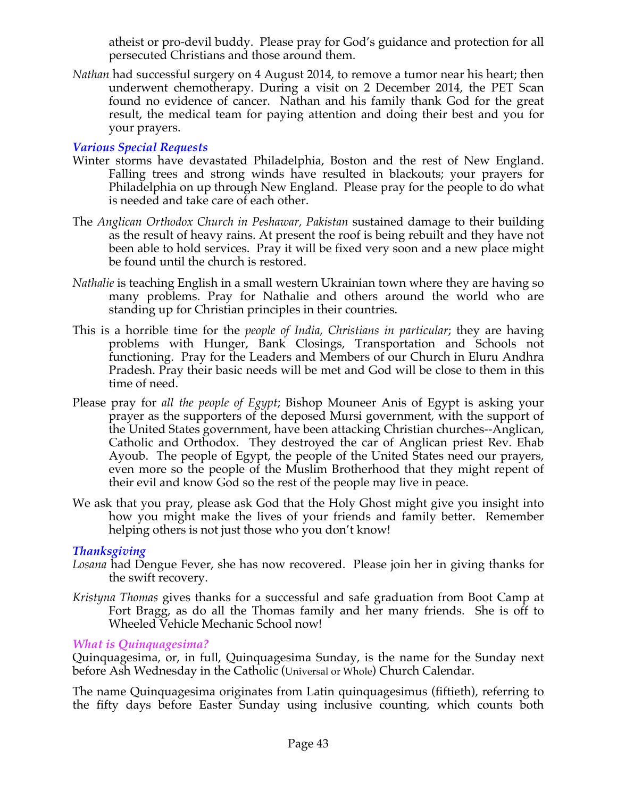atheist or pro-devil buddy. Please pray for God's guidance and protection for all persecuted Christians and those around them.

*Nathan* had successful surgery on 4 August 2014, to remove a tumor near his heart; then underwent chemotherapy. During a visit on 2 December 2014, the PET Scan found no evidence of cancer. Nathan and his family thank God for the great result, the medical team for paying attention and doing their best and you for your prayers.

## *Various Special Requests*

- Winter storms have devastated Philadelphia, Boston and the rest of New England. Falling trees and strong winds have resulted in blackouts; your prayers for Philadelphia on up through New England. Please pray for the people to do what is needed and take care of each other.
- The *Anglican Orthodox Church in Peshawar, Pakistan* sustained damage to their building as the result of heavy rains. At present the roof is being rebuilt and they have not been able to hold services. Pray it will be fixed very soon and a new place might be found until the church is restored.
- *Nathalie* is teaching English in a small western Ukrainian town where they are having so many problems. Pray for Nathalie and others around the world who are standing up for Christian principles in their countries.
- This is a horrible time for the *people of India, Christians in particular*; they are having problems with Hunger, Bank Closings, Transportation and Schools not functioning. Pray for the Leaders and Members of our Church in Eluru Andhra Pradesh. Pray their basic needs will be met and God will be close to them in this time of need.
- Please pray for *all the people of Egypt*; Bishop Mouneer Anis of Egypt is asking your prayer as the supporters of the deposed Mursi government, with the support of the United States government, have been attacking Christian churches--Anglican, Catholic and Orthodox. They destroyed the car of Anglican priest Rev. Ehab Ayoub. The people of Egypt, the people of the United States need our prayers, even more so the people of the Muslim Brotherhood that they might repent of their evil and know God so the rest of the people may live in peace.
- We ask that you pray, please ask God that the Holy Ghost might give you insight into how you might make the lives of your friends and family better. Remember helping others is not just those who you don't know!

## *Thanksgiving*

- *Losana* had Dengue Fever, she has now recovered. Please join her in giving thanks for the swift recovery.
- *Kristyna Thomas* gives thanks for a successful and safe graduation from Boot Camp at Fort Bragg, as do all the Thomas family and her many friends. She is off to Wheeled Vehicle Mechanic School now!

## *What is Quinquagesima?*

Quinquagesima, or, in full, Quinquagesima Sunday, is the name for the Sunday next before Ash Wednesday in the Catholic (Universal or Whole) Church Calendar.

The name Quinquagesima originates from Latin quinquagesimus (fiftieth), referring to the fifty days before Easter Sunday using inclusive counting, which counts both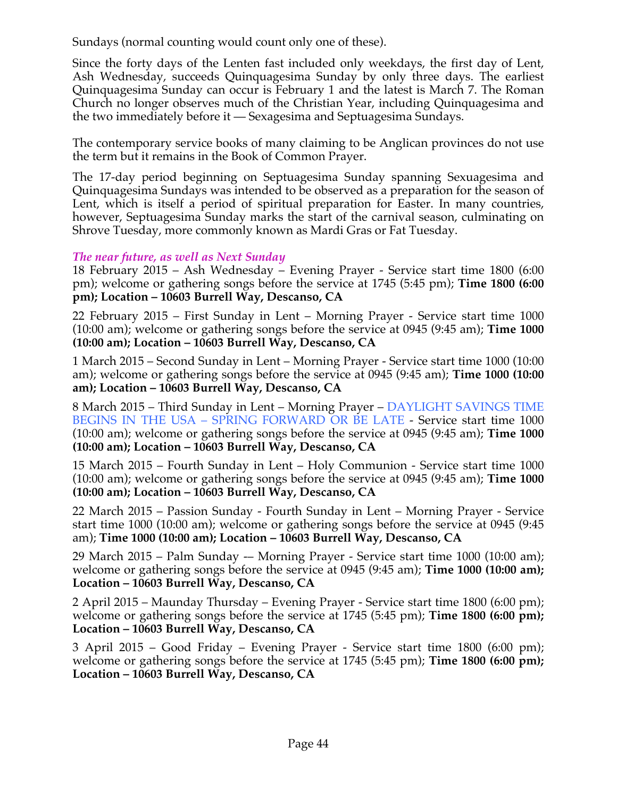Sundays (normal counting would count only one of these).

Since the forty days of the Lenten fast included only weekdays, the first day of Lent, Ash Wednesday, succeeds Quinquagesima Sunday by only three days. The earliest Quinquagesima Sunday can occur is February 1 and the latest is March 7. The Roman Church no longer observes much of the Christian Year, including Quinquagesima and the two immediately before it — Sexagesima and Septuagesima Sundays.

The contemporary service books of many claiming to be Anglican provinces do not use the term but it remains in the Book of Common Prayer.

The 17-day period beginning on Septuagesima Sunday spanning Sexuagesima and Quinquagesima Sundays was intended to be observed as a preparation for the season of Lent, which is itself a period of spiritual preparation for Easter. In many countries, however, Septuagesima Sunday marks the start of the carnival season, culminating on Shrove Tuesday, more commonly known as Mardi Gras or Fat Tuesday.

## *The near future, as well as Next Sunday*

18 February 2015 – Ash Wednesday – Evening Prayer - Service start time 1800 (6:00 pm); welcome or gathering songs before the service at 1745 (5:45 pm); **Time 1800 (6:00 pm); Location – 10603 Burrell Way, Descanso, CA**

22 February 2015 – First Sunday in Lent – Morning Prayer - Service start time 1000 (10:00 am); welcome or gathering songs before the service at 0945 (9:45 am); **Time 1000 (10:00 am); Location – 10603 Burrell Way, Descanso, CA**

1 March 2015 – Second Sunday in Lent – Morning Prayer - Service start time 1000 (10:00 am); welcome or gathering songs before the service at 0945 (9:45 am); **Time 1000 (10:00 am); Location – 10603 Burrell Way, Descanso, CA**

8 March 2015 – Third Sunday in Lent – Morning Prayer – DAYLIGHT SAVINGS TIME BEGINS IN THE USA – SPRING FORWARD OR BE LATE - Service start time 1000 (10:00 am); welcome or gathering songs before the service at 0945 (9:45 am); **Time 1000 (10:00 am); Location – 10603 Burrell Way, Descanso, CA**

15 March 2015 – Fourth Sunday in Lent – Holy Communion - Service start time 1000 (10:00 am); welcome or gathering songs before the service at 0945 (9:45 am); **Time 1000 (10:00 am); Location – 10603 Burrell Way, Descanso, CA**

22 March 2015 – Passion Sunday - Fourth Sunday in Lent – Morning Prayer - Service start time 1000 (10:00 am); welcome or gathering songs before the service at 0945 (9:45 am); **Time 1000 (10:00 am); Location – 10603 Burrell Way, Descanso, CA**

29 March 2015 – Palm Sunday -– Morning Prayer - Service start time 1000 (10:00 am); welcome or gathering songs before the service at 0945 (9:45 am); **Time 1000 (10:00 am); Location – 10603 Burrell Way, Descanso, CA**

2 April 2015 – Maunday Thursday – Evening Prayer - Service start time 1800 (6:00 pm); welcome or gathering songs before the service at 1745 (5:45 pm); **Time 1800 (6:00 pm); Location – 10603 Burrell Way, Descanso, CA**

3 April 2015 – Good Friday – Evening Prayer - Service start time 1800 (6:00 pm); welcome or gathering songs before the service at 1745 (5:45 pm); **Time 1800 (6:00 pm); Location – 10603 Burrell Way, Descanso, CA**